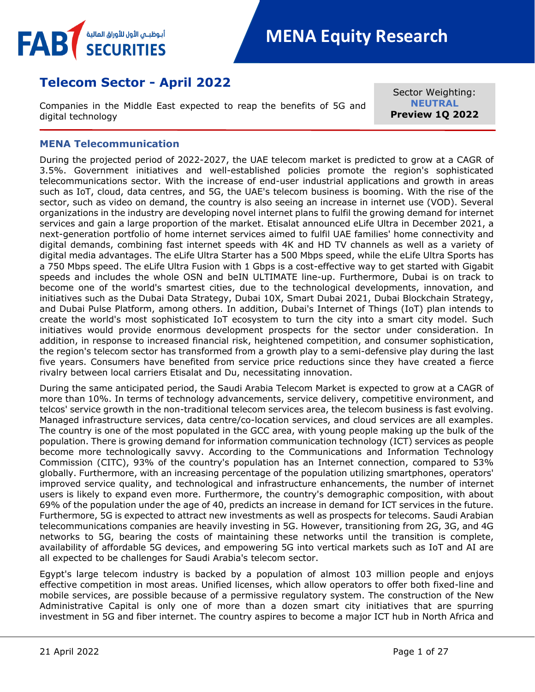

# **Telecom Sector - April 2022**

Companies in the Middle East expected to reap the benefits of 5G and digital technology

Sector Weighting: **NEUTRAL Preview 1Q 2022**

## <span id="page-0-0"></span>**MENA Telecommunication**

During the projected period of 2022-2027, the UAE telecom market is predicted to grow at a CAGR of 3.5%. Government initiatives and well-established policies promote the region's sophisticated telecommunications sector. With the increase of end-user industrial applications and growth in areas such as IoT, cloud, data centres, and 5G, the UAE's telecom business is booming. With the rise of the sector, such as video on demand, the country is also seeing an increase in internet use (VOD). Several organizations in the industry are developing novel internet plans to fulfil the growing demand for internet services and gain a large proportion of the market. Etisalat announced eLife Ultra in December 2021, a next-generation portfolio of home internet services aimed to fulfil UAE families' home connectivity and digital demands, combining fast internet speeds with 4K and HD TV channels as well as a variety of digital media advantages. The eLife Ultra Starter has a 500 Mbps speed, while the eLife Ultra Sports has a 750 Mbps speed. The eLife Ultra Fusion with 1 Gbps is a cost-effective way to get started with Gigabit speeds and includes the whole OSN and beIN ULTIMATE line-up. Furthermore, Dubai is on track to become one of the world's smartest cities, due to the technological developments, innovation, and initiatives such as the Dubai Data Strategy, Dubai 10X, Smart Dubai 2021, Dubai Blockchain Strategy, and Dubai Pulse Platform, among others. In addition, Dubai's Internet of Things (IoT) plan intends to create the world's most sophisticated IoT ecosystem to turn the city into a smart city model. Such initiatives would provide enormous development prospects for the sector under consideration. In addition, in response to increased financial risk, heightened competition, and consumer sophistication, the region's telecom sector has transformed from a growth play to a semi-defensive play during the last five years. Consumers have benefited from service price reductions since they have created a fierce rivalry between local carriers Etisalat and Du, necessitating innovation.

During the same anticipated period, the Saudi Arabia Telecom Market is expected to grow at a CAGR of more than 10%. In terms of technology advancements, service delivery, competitive environment, and telcos' service growth in the non-traditional telecom services area, the telecom business is fast evolving. Managed infrastructure services, data centre/co-location services, and cloud services are all examples. The country is one of the most populated in the GCC area, with young people making up the bulk of the population. There is growing demand for information communication technology (ICT) services as people become more technologically savvy. According to the Communications and Information Technology Commission (CITC), 93% of the country's population has an Internet connection, compared to 53% globally. Furthermore, with an increasing percentage of the population utilizing smartphones, operators' improved service quality, and technological and infrastructure enhancements, the number of internet users is likely to expand even more. Furthermore, the country's demographic composition, with about 69% of the population under the age of 40, predicts an increase in demand for ICT services in the future. Furthermore, 5G is expected to attract new investments as well as prospects for telecoms. Saudi Arabian telecommunications companies are heavily investing in 5G. However, transitioning from 2G, 3G, and 4G networks to 5G, bearing the costs of maintaining these networks until the transition is complete, availability of affordable 5G devices, and empowering 5G into vertical markets such as IoT and AI are all expected to be challenges for Saudi Arabia's telecom sector.

Egypt's large telecom industry is backed by a population of almost 103 million people and enjoys effective competition in most areas. Unified licenses, which allow operators to offer both fixed-line and mobile services, are possible because of a permissive regulatory system. The construction of the New Administrative Capital is only one of more than a dozen smart city initiatives that are spurring investment in 5G and fiber internet. The country aspires to become a major ICT hub in North Africa and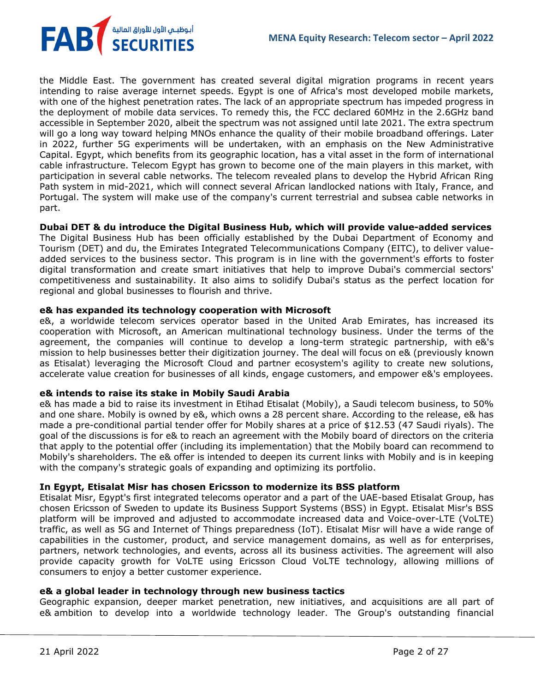the Middle East. The government has created several digital migration programs in recent years intending to raise average internet speeds. Egypt is one of Africa's most developed mobile markets, with one of the highest penetration rates. The lack of an appropriate spectrum has impeded progress in the deployment of mobile data services. To remedy this, the FCC declared 60MHz in the 2.6GHz band accessible in September 2020, albeit the spectrum was not assigned until late 2021. The extra spectrum will go a long way toward helping MNOs enhance the quality of their mobile broadband offerings. Later in 2022, further 5G experiments will be undertaken, with an emphasis on the New Administrative Capital. Egypt, which benefits from its geographic location, has a vital asset in the form of international cable infrastructure. Telecom Egypt has grown to become one of the main players in this market, with participation in several cable networks. The telecom revealed plans to develop the Hybrid African Ring Path system in mid-2021, which will connect several African landlocked nations with Italy, France, and Portugal. The system will make use of the company's current terrestrial and subsea cable networks in part.

**Dubai DET & du introduce the Digital Business Hub, which will provide value-added services**

The Digital Business Hub has been officially established by the Dubai Department of Economy and Tourism (DET) and du, the Emirates Integrated Telecommunications Company (EITC), to deliver valueadded services to the business sector. This program is in line with the government's efforts to foster digital transformation and create smart initiatives that help to improve Dubai's commercial sectors' competitiveness and sustainability. It also aims to solidify Dubai's status as the perfect location for regional and global businesses to flourish and thrive.

## **e& has expanded its technology cooperation with Microsoft**

e&, a worldwide telecom services operator based in the United Arab Emirates, has increased its cooperation with Microsoft, an American multinational technology business. Under the terms of the agreement, the companies will continue to develop a long-term strategic partnership, with e&'s mission to help businesses better their digitization journey. The deal will focus on e& (previously known as Etisalat) leveraging the Microsoft Cloud and partner ecosystem's agility to create new solutions, accelerate value creation for businesses of all kinds, engage customers, and empower e&'s employees.

### **e& intends to raise its stake in Mobily Saudi Arabia**

FAB<sup>T</sup> SECURITIES

e& has made a bid to raise its investment in Etihad Etisalat (Mobily), a Saudi telecom business, to 50% and one share. Mobily is owned by e&, which owns a 28 percent share. According to the release, e& has made a pre-conditional partial tender offer for Mobily shares at a price of \$12.53 (47 Saudi riyals). The goal of the discussions is for e& to reach an agreement with the Mobily board of directors on the criteria that apply to the potential offer (including its implementation) that the Mobily board can recommend to Mobily's shareholders. The e& offer is intended to deepen its current links with Mobily and is in keeping with the company's strategic goals of expanding and optimizing its portfolio.

## **In Egypt, Etisalat Misr has chosen Ericsson to modernize its BSS platform**

Etisalat Misr, Egypt's first integrated telecoms operator and a part of the UAE-based Etisalat Group, has chosen Ericsson of Sweden to update its Business Support Systems (BSS) in Egypt. Etisalat Misr's BSS platform will be improved and adjusted to accommodate increased data and Voice-over-LTE (VoLTE) traffic, as well as 5G and Internet of Things preparedness (IoT). Etisalat Misr will have a wide range of capabilities in the customer, product, and service management domains, as well as for enterprises, partners, network technologies, and events, across all its business activities. The agreement will also provide capacity growth for VoLTE using Ericsson Cloud VoLTE technology, allowing millions of consumers to enjoy a better customer experience.

## **e& a global leader in technology through new business tactics**

Geographic expansion, deeper market penetration, new initiatives, and acquisitions are all part of e& ambition to develop into a worldwide technology leader. The Group's outstanding financial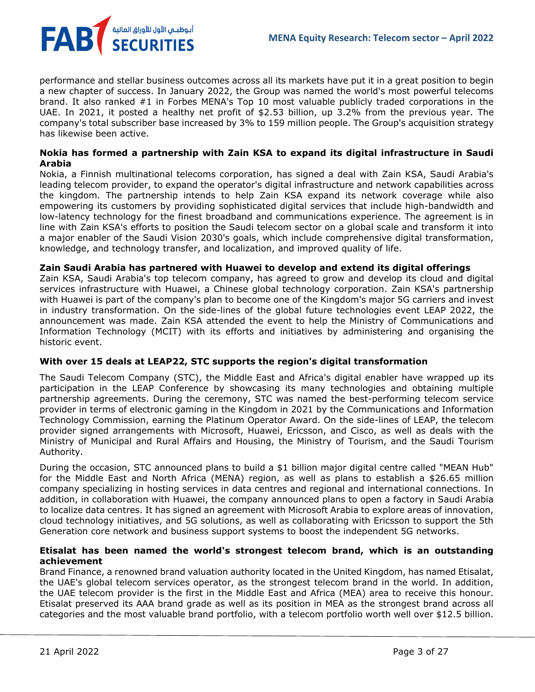

performance and stellar business outcomes across all its markets have put it in a great position to begin a new chapter of success. In January 2022, the Group was named the world's most powerful telecoms brand. It also ranked #1 in Forbes MENA's Top 10 most valuable publicly traded corporations in the UAE. In 2021, it posted a healthy net profit of \$2.53 billion, up 3.2% from the previous year. The company's total subscriber base increased by 3% to 159 million people. The Group's acquisition strategy has likewise been active.

## **Nokia has formed a partnership with Zain KSA to expand its digital infrastructure in Saudi Arabia**

Nokia, a Finnish multinational telecoms corporation, has signed a deal with Zain KSA, Saudi Arabia's leading telecom provider, to expand the operator's digital infrastructure and network capabilities across the kingdom. The partnership intends to help Zain KSA expand its network coverage while also empowering its customers by providing sophisticated digital services that include high-bandwidth and low-latency technology for the finest broadband and communications experience. The agreement is in line with Zain KSA's efforts to position the Saudi telecom sector on a global scale and transform it into a major enabler of the Saudi Vision 2030's goals, which include comprehensive digital transformation, knowledge, and technology transfer, and localization, and improved quality of life.

## **Zain Saudi Arabia has partnered with Huawei to develop and extend its digital offerings**

Zain KSA, Saudi Arabia's top telecom company, has agreed to grow and develop its cloud and digital services infrastructure with Huawei, a Chinese global technology corporation. Zain KSA's partnership with Huawei is part of the company's plan to become one of the Kingdom's major 5G carriers and invest in industry transformation. On the side-lines of the global future technologies event LEAP 2022, the announcement was made. Zain KSA attended the event to help the Ministry of Communications and Information Technology (MCIT) with its efforts and initiatives by administering and organising the historic event.

## **With over 15 deals at LEAP22, STC supports the region's digital transformation**

The Saudi Telecom Company (STC), the Middle East and Africa's digital enabler have wrapped up its participation in the LEAP Conference by showcasing its many technologies and obtaining multiple partnership agreements. During the ceremony, STC was named the best-performing telecom service provider in terms of electronic gaming in the Kingdom in 2021 by the Communications and Information Technology Commission, earning the Platinum Operator Award. On the side-lines of LEAP, the telecom provider signed arrangements with Microsoft, Huawei, Ericsson, and Cisco, as well as deals with the Ministry of Municipal and Rural Affairs and Housing, the Ministry of Tourism, and the Saudi Tourism Authority.

During the occasion, STC announced plans to build a \$1 billion major digital centre called "MEAN Hub" for the Middle East and North Africa (MENA) region, as well as plans to establish a \$26.65 million company specializing in hosting services in data centres and regional and international connections. In addition, in collaboration with Huawei, the company announced plans to open a factory in Saudi Arabia to localize data centres. It has signed an agreement with Microsoft Arabia to explore areas of innovation, cloud technology initiatives, and 5G solutions, as well as collaborating with Ericsson to support the 5th Generation core network and business support systems to boost the independent 5G networks.

## **Etisalat has been named the world's strongest telecom brand, which is an outstanding achievement**

Brand Finance, a renowned brand valuation authority located in the United Kingdom, has named Etisalat, the UAE's global telecom services operator, as the strongest telecom brand in the world. In addition, the UAE telecom provider is the first in the Middle East and Africa (MEA) area to receive this honour. Etisalat preserved its AAA brand grade as well as its position in MEA as the strongest brand across all categories and the most valuable brand portfolio, with a telecom portfolio worth well over \$12.5 billion.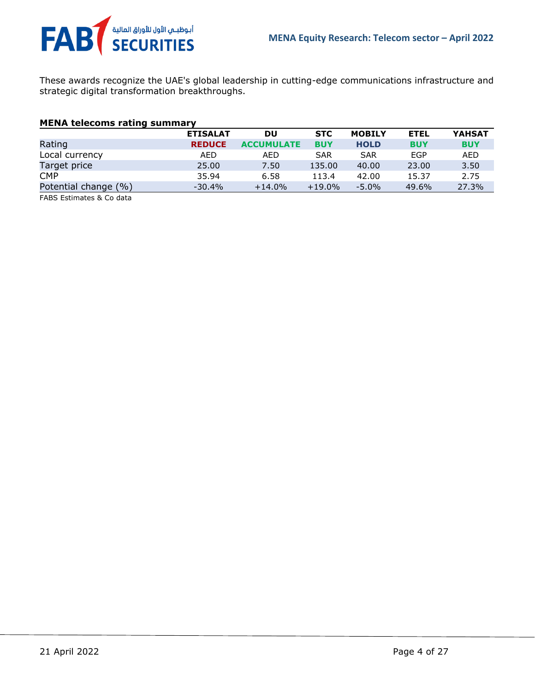

These awards recognize the UAE's global leadership in cutting-edge communications infrastructure and strategic digital transformation breakthroughs.

## **MENA telecoms rating summary**

|                      | <b>ETISALAT</b> | DU                | <b>STC</b> | <b>MOBILY</b> | <b>ETEL</b> | <b>YAHSAT</b> |
|----------------------|-----------------|-------------------|------------|---------------|-------------|---------------|
| Rating               | <b>REDUCE</b>   | <b>ACCUMULATE</b> | <b>BUY</b> | <b>HOLD</b>   | <b>BUY</b>  | <b>BUY</b>    |
| Local currency       | AED             | AED               | <b>SAR</b> | <b>SAR</b>    | EGP         | AED           |
| Target price         | 25,00           | 7.50              | 135.00     | 40.00         | 23.00       | 3.50          |
| <b>CMP</b>           | 35.94           | 6.58              | 113.4      | 42.00         | 15.37       | 2.75          |
| Potential change (%) | $-30.4\%$       | $+14.0%$          | $+19.0\%$  | $-5.0\%$      | 49.6%       | 27.3%         |
|                      |                 |                   |            |               |             |               |

FABS Estimates & Co data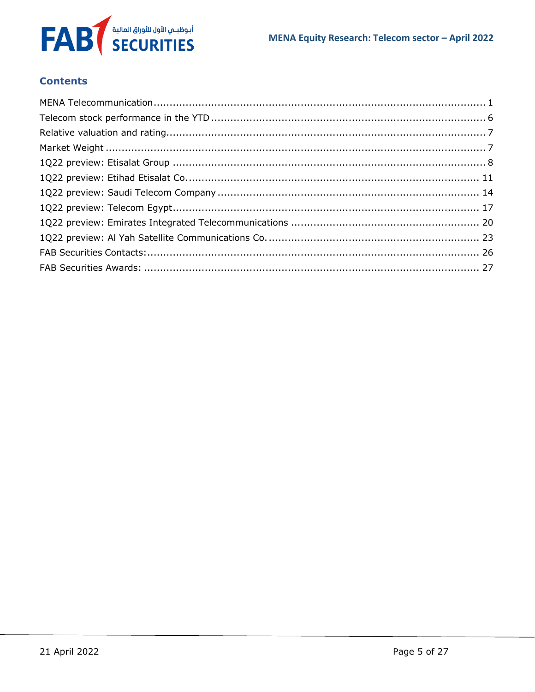

## **Contents**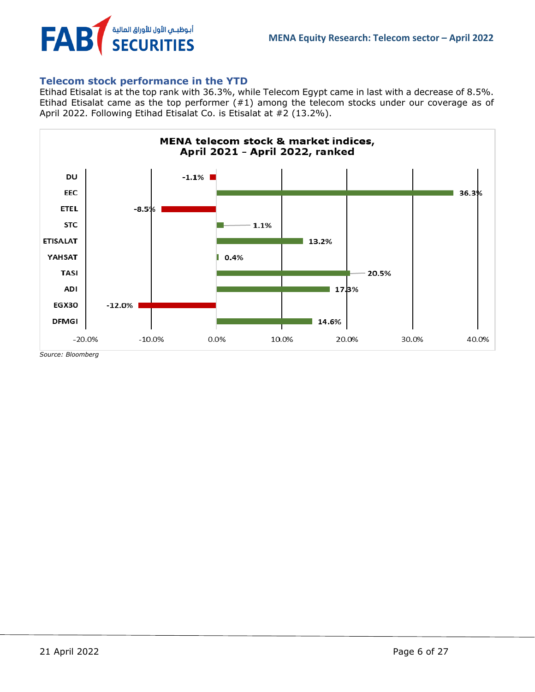

## <span id="page-5-0"></span>**Telecom stock performance in the YTD**

Etihad Etisalat is at the top rank with 36.3%, while Telecom Egypt came in last with a decrease of 8.5%. Etihad Etisalat came as the top performer (#1) among the telecom stocks under our coverage as of April 2022. Following Etihad Etisalat Co. is Etisalat at #2 (13.2%).



*Source: Bloomberg*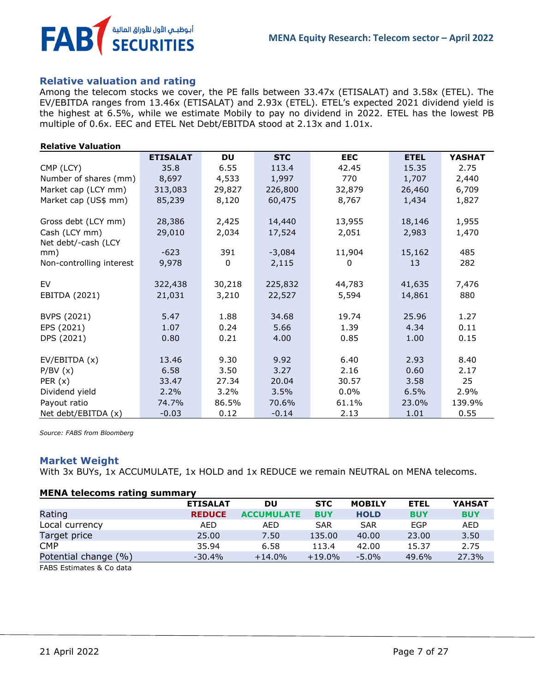

## <span id="page-6-0"></span>**Relative valuation and rating**

Among the telecom stocks we cover, the PE falls between 33.47x (ETISALAT) and 3.58x (ETEL). The EV/EBITDA ranges from 13.46x (ETISALAT) and 2.93x (ETEL). ETEL's expected 2021 dividend yield is the highest at 6.5%, while we estimate Mobily to pay no dividend in 2022. ETEL has the lowest PB multiple of 0.6x. EEC and ETEL Net Debt/EBITDA stood at 2.13x and 1.01x.

| <b>Relative Valuation</b> |
|---------------------------|
|                           |

|                                      | <b>ETISALAT</b>  | <b>DU</b>      | <b>STC</b>       | <b>EEC</b>      | <b>ETEL</b> | <b>YASHAT</b>  |
|--------------------------------------|------------------|----------------|------------------|-----------------|-------------|----------------|
| CMP (LCY)                            | 35.8             | 6.55           | 113.4            | 42.45           | 15.35       | 2.75           |
| Number of shares (mm)                | 8,697            | 4,533          | 1,997            | 770             | 1,707       | 2,440          |
| Market cap (LCY mm)                  | 313,083          | 29,827         | 226,800          | 32,879          | 26,460      | 6,709          |
| Market cap (US\$ mm)                 | 85,239           | 8,120          | 60,475           | 8,767           | 1,434       | 1,827          |
| Gross debt (LCY mm)<br>Cash (LCY mm) | 28,386<br>29,010 | 2,425<br>2,034 | 14,440<br>17,524 | 13,955<br>2,051 | 18,146      | 1,955<br>1,470 |
| Net debt/-cash (LCY                  |                  |                |                  |                 | 2,983       |                |
| mm)                                  | $-623$           | 391            | $-3,084$         | 11,904          | 15,162      | 485            |
| Non-controlling interest             | 9,978            | 0              | 2,115            | 0               | 13          | 282            |
| EV                                   | 322,438          | 30,218         | 225,832          | 44,783          | 41,635      | 7,476          |
| EBITDA (2021)                        | 21,031           | 3,210          | 22,527           | 5,594           | 14,861      | 880            |
| <b>BVPS (2021)</b>                   | 5.47             | 1.88           | 34.68            | 19.74           | 25.96       | 1.27           |
| EPS (2021)                           | 1.07             | 0.24           | 5.66             | 1.39            | 4.34        | 0.11           |
| DPS (2021)                           | 0.80             | 0.21           | 4.00             | 0.85            | 1.00        | 0.15           |
| EV/EBITDA (x)                        | 13.46            | 9.30           | 9.92             | 6.40            | 2.93        | 8.40           |
| P/BV(x)                              | 6.58             | 3.50           | 3.27             | 2.16            | 0.60        | 2.17           |
| PER $(x)$                            | 33.47            | 27.34          | 20.04            | 30.57           | 3.58        | 25             |
| Dividend yield                       | 2.2%             | 3.2%           | 3.5%             | $0.0\%$         | 6.5%        | 2.9%           |
| Payout ratio                         | 74.7%            | 86.5%          | 70.6%            | 61.1%           | 23.0%       | 139.9%         |
| Net debt/EBITDA (x)                  | $-0.03$          | 0.12           | $-0.14$          | 2.13            | 1.01        | 0.55           |

*Source: FABS from Bloomberg*

## <span id="page-6-1"></span>**Market Weight**

With 3x BUYs, 1x ACCUMULATE, 1x HOLD and 1x REDUCE we remain NEUTRAL on MENA telecoms.

### **MENA telecoms rating summary**

|                                                                    | <b>ETISALAT</b> | DU                | <b>STC</b> | <b>MOBILY</b> | <b>ETEL</b> | <b>YAHSAT</b> |
|--------------------------------------------------------------------|-----------------|-------------------|------------|---------------|-------------|---------------|
| Rating                                                             | <b>REDUCE</b>   | <b>ACCUMULATE</b> | <b>BUY</b> | <b>HOLD</b>   | <b>BUY</b>  | <b>BUY</b>    |
| Local currency                                                     | AED.            | AED               | <b>SAR</b> | <b>SAR</b>    | EGP         | AED           |
| Target price                                                       | 25.00           | 7.50              | 135.00     | 40.00         | 23,00       | 3.50          |
| <b>CMP</b>                                                         | 35.94           | 6.58              | 113.4      | 42.00         | 15.37       | 2.75          |
| Potential change (%)                                               | $-30.4%$        | $+14.0\%$         | $+19.0\%$  | $-5.0\%$      | 49.6%       | 27.3%         |
| $FAPC$ $F_1$ $F_2$ $F_3$ $F_4$ $F_5$ $F_6$ $F_7$ $F_8$ $F_9$ $F_9$ |                 |                   |            |               |             |               |

FABS Estimates & Co data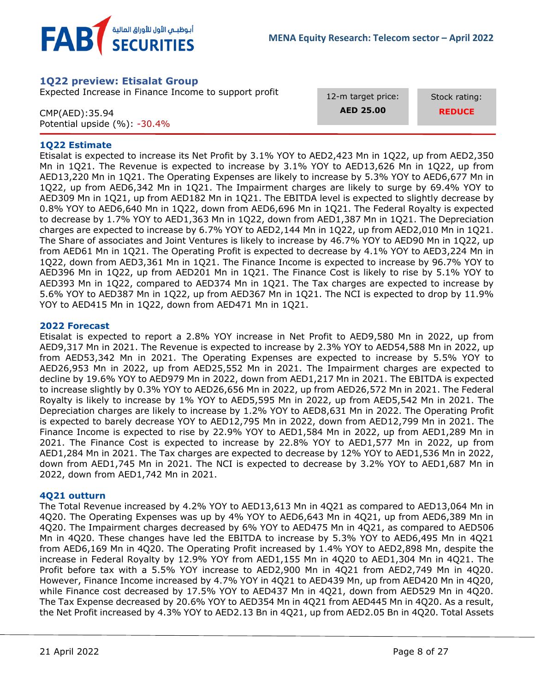

## <span id="page-7-0"></span>**1Q22 preview: Etisalat Group**

Expected Increase in Finance Income to support profit

CMP(AED):35.94 Potential upside (%): -30.4% 12-m target price: **AED 25.00**

Stock rating: **REDUCE**

## **1Q22 Estimate**

Etisalat is expected to increase its Net Profit by 3.1% YOY to AED2,423 Mn in 1Q22, up from AED2,350 Mn in 1Q21. The Revenue is expected to increase by 3.1% YOY to AED13,626 Mn in 1Q22, up from AED13,220 Mn in 1Q21. The Operating Expenses are likely to increase by 5.3% YOY to AED6,677 Mn in 1Q22, up from AED6,342 Mn in 1Q21. The Impairment charges are likely to surge by 69.4% YOY to AED309 Mn in 1Q21, up from AED182 Mn in 1Q21. The EBITDA level is expected to slightly decrease by 0.8% YOY to AED6,640 Mn in 1Q22, down from AED6,696 Mn in 1Q21. The Federal Royalty is expected to decrease by 1.7% YOY to AED1,363 Mn in 1Q22, down from AED1,387 Mn in 1Q21. The Depreciation charges are expected to increase by 6.7% YOY to AED2,144 Mn in 1Q22, up from AED2,010 Mn in 1Q21. The Share of associates and Joint Ventures is likely to increase by 46.7% YOY to AED90 Mn in 1Q22, up from AED61 Mn in 1Q21. The Operating Profit is expected to decrease by 4.1% YOY to AED3,224 Mn in 1Q22, down from AED3,361 Mn in 1Q21. The Finance Income is expected to increase by 96.7% YOY to AED396 Mn in 1Q22, up from AED201 Mn in 1Q21. The Finance Cost is likely to rise by 5.1% YOY to AED393 Mn in 1Q22, compared to AED374 Mn in 1Q21. The Tax charges are expected to increase by 5.6% YOY to AED387 Mn in 1Q22, up from AED367 Mn in 1Q21. The NCI is expected to drop by 11.9% YOY to AED415 Mn in 1Q22, down from AED471 Mn in 1Q21.

## **2022 Forecast**

Etisalat is expected to report a 2.8% YOY increase in Net Profit to AED9,580 Mn in 2022, up from AED9,317 Mn in 2021. The Revenue is expected to increase by 2.3% YOY to AED54,588 Mn in 2022, up from AED53,342 Mn in 2021. The Operating Expenses are expected to increase by 5.5% YOY to AED26,953 Mn in 2022, up from AED25,552 Mn in 2021. The Impairment charges are expected to decline by 19.6% YOY to AED979 Mn in 2022, down from AED1,217 Mn in 2021. The EBITDA is expected to increase slightly by 0.3% YOY to AED26,656 Mn in 2022, up from AED26,572 Mn in 2021. The Federal Royalty is likely to increase by 1% YOY to AED5,595 Mn in 2022, up from AED5,542 Mn in 2021. The Depreciation charges are likely to increase by 1.2% YOY to AED8,631 Mn in 2022. The Operating Profit is expected to barely decrease YOY to AED12,795 Mn in 2022, down from AED12,799 Mn in 2021. The Finance Income is expected to rise by 22.9% YOY to AED1,584 Mn in 2022, up from AED1,289 Mn in 2021. The Finance Cost is expected to increase by 22.8% YOY to AED1,577 Mn in 2022, up from AED1,284 Mn in 2021. The Tax charges are expected to decrease by 12% YOY to AED1,536 Mn in 2022, down from AED1,745 Mn in 2021. The NCI is expected to decrease by 3.2% YOY to AED1,687 Mn in 2022, down from AED1,742 Mn in 2021.

## **4Q21 outturn**

The Total Revenue increased by 4.2% YOY to AED13,613 Mn in 4Q21 as compared to AED13,064 Mn in 4Q20. The Operating Expenses was up by 4% YOY to AED6,643 Mn in 4Q21, up from AED6,389 Mn in 4Q20. The Impairment charges decreased by 6% YOY to AED475 Mn in 4Q21, as compared to AED506 Mn in 4Q20. These changes have led the EBITDA to increase by 5.3% YOY to AED6,495 Mn in 4Q21 from AED6,169 Mn in 4Q20. The Operating Profit increased by 1.4% YOY to AED2,898 Mn, despite the increase in Federal Royalty by 12.9% YOY from AED1,155 Mn in 4Q20 to AED1,304 Mn in 4Q21. The Profit before tax with a 5.5% YOY increase to AED2,900 Mn in 4Q21 from AED2,749 Mn in 4Q20. However, Finance Income increased by 4.7% YOY in 4Q21 to AED439 Mn, up from AED420 Mn in 4Q20, while Finance cost decreased by 17.5% YOY to AED437 Mn in 4Q21, down from AED529 Mn in 4Q20. The Tax Expense decreased by 20.6% YOY to AED354 Mn in 4Q21 from AED445 Mn in 4Q20. As a result, the Net Profit increased by 4.3% YOY to AED2.13 Bn in 4Q21, up from AED2.05 Bn in 4Q20. Total Assets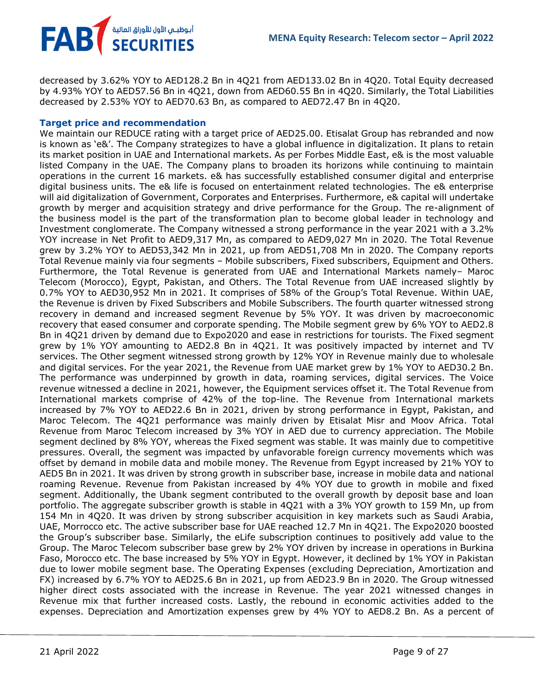decreased by 3.62% YOY to AED128.2 Bn in 4Q21 from AED133.02 Bn in 4Q20. Total Equity decreased by 4.93% YOY to AED57.56 Bn in 4Q21, down from AED60.55 Bn in 4Q20. Similarly, the Total Liabilities decreased by 2.53% YOY to AED70.63 Bn, as compared to AED72.47 Bn in 4Q20.

## **Target price and recommendation**

FAB<sup>T</sup> SECURITIES

We maintain our REDUCE rating with a target price of AED25.00. Etisalat Group has rebranded and now is known as 'e&'. The Company strategizes to have a global influence in digitalization. It plans to retain its market position in UAE and International markets. As per Forbes Middle East, e& is the most valuable listed Company in the UAE. The Company plans to broaden its horizons while continuing to maintain operations in the current 16 markets. e& has successfully established consumer digital and enterprise digital business units. The e& life is focused on entertainment related technologies. The e& enterprise will aid digitalization of Government, Corporates and Enterprises. Furthermore, e& capital will undertake growth by merger and acquisition strategy and drive performance for the Group. The re-alignment of the business model is the part of the transformation plan to become global leader in technology and Investment conglomerate. The Company witnessed a strong performance in the year 2021 with a 3.2% YOY increase in Net Profit to AED9,317 Mn, as compared to AED9,027 Mn in 2020. The Total Revenue grew by 3.2% YOY to AED53,342 Mn in 2021, up from AED51,708 Mn in 2020. The Company reports Total Revenue mainly via four segments – Mobile subscribers, Fixed subscribers, Equipment and Others. Furthermore, the Total Revenue is generated from UAE and International Markets namely– Maroc Telecom (Morocco), Egypt, Pakistan, and Others. The Total Revenue from UAE increased slightly by 0.7% YOY to AED30,952 Mn in 2021. It comprises of 58% of the Group's Total Revenue. Within UAE, the Revenue is driven by Fixed Subscribers and Mobile Subscribers. The fourth quarter witnessed strong recovery in demand and increased segment Revenue by 5% YOY. It was driven by macroeconomic recovery that eased consumer and corporate spending. The Mobile segment grew by 6% YOY to AED2.8 Bn in 4Q21 driven by demand due to Expo2020 and ease in restrictions for tourists. The Fixed segment grew by 1% YOY amounting to AED2.8 Bn in 4Q21. It was positively impacted by internet and TV services. The Other segment witnessed strong growth by 12% YOY in Revenue mainly due to wholesale and digital services. For the year 2021, the Revenue from UAE market grew by 1% YOY to AED30.2 Bn. The performance was underpinned by growth in data, roaming services, digital services. The Voice revenue witnessed a decline in 2021, however, the Equipment services offset it. The Total Revenue from International markets comprise of 42% of the top-line. The Revenue from International markets increased by 7% YOY to AED22.6 Bn in 2021, driven by strong performance in Egypt, Pakistan, and Maroc Telecom. The 4Q21 performance was mainly driven by Etisalat Misr and Moov Africa. Total Revenue from Maroc Telecom increased by 3% YOY in AED due to currency appreciation. The Mobile segment declined by 8% YOY, whereas the Fixed segment was stable. It was mainly due to competitive pressures. Overall, the segment was impacted by unfavorable foreign currency movements which was offset by demand in mobile data and mobile money. The Revenue from Egypt increased by 21% YOY to AED5 Bn in 2021. It was driven by strong growth in subscriber base, increase in mobile data and national roaming Revenue. Revenue from Pakistan increased by 4% YOY due to growth in mobile and fixed segment. Additionally, the Ubank segment contributed to the overall growth by deposit base and loan portfolio. The aggregate subscriber growth is stable in 4Q21 with a 3% YOY growth to 159 Mn, up from 154 Mn in 4Q20. It was driven by strong subscriber acquisition in key markets such as Saudi Arabia, UAE, Morrocco etc. The active subscriber base for UAE reached 12.7 Mn in 4Q21. The Expo2020 boosted the Group's subscriber base. Similarly, the eLife subscription continues to positively add value to the Group. The Maroc Telecom subscriber base grew by 2% YOY driven by increase in operations in Burkina Faso, Morocco etc. The base increased by 5% YOY in Egypt. However, it declined by 1% YOY in Pakistan due to lower mobile segment base. The Operating Expenses (excluding Depreciation, Amortization and FX) increased by 6.7% YOY to AED25.6 Bn in 2021, up from AED23.9 Bn in 2020. The Group witnessed higher direct costs associated with the increase in Revenue. The year 2021 witnessed changes in Revenue mix that further increased costs. Lastly, the rebound in economic activities added to the expenses. Depreciation and Amortization expenses grew by 4% YOY to AED8.2 Bn. As a percent of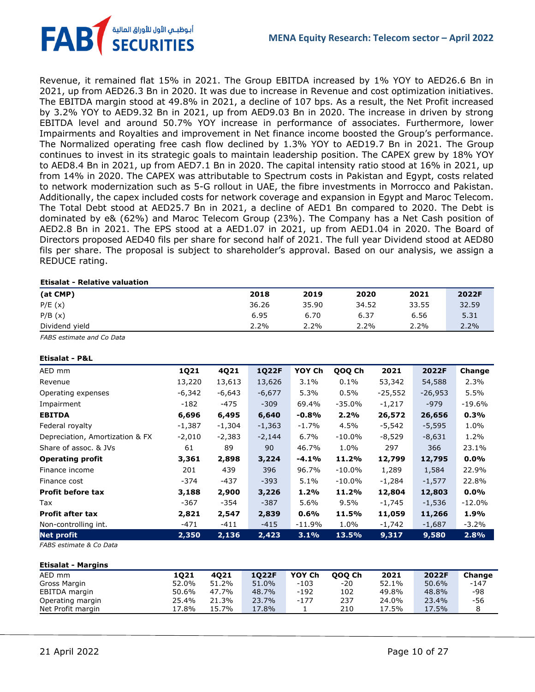**FAB** أبوظبـي الأول للأوراق المالية<br>SECURITIES

Revenue, it remained flat 15% in 2021. The Group EBITDA increased by 1% YOY to AED26.6 Bn in 2021, up from AED26.3 Bn in 2020. It was due to increase in Revenue and cost optimization initiatives. The EBITDA margin stood at 49.8% in 2021, a decline of 107 bps. As a result, the Net Profit increased by 3.2% YOY to AED9.32 Bn in 2021, up from AED9.03 Bn in 2020. The increase in driven by strong EBITDA level and around 50.7% YOY increase in performance of associates. Furthermore, lower Impairments and Royalties and improvement in Net finance income boosted the Group's performance. The Normalized operating free cash flow declined by 1.3% YOY to AED19.7 Bn in 2021. The Group continues to invest in its strategic goals to maintain leadership position. The CAPEX grew by 18% YOY to AED8.4 Bn in 2021, up from AED7.1 Bn in 2020. The capital intensity ratio stood at 16% in 2021, up from 14% in 2020. The CAPEX was attributable to Spectrum costs in Pakistan and Egypt, costs related to network modernization such as 5-G rollout in UAE, the fibre investments in Morrocco and Pakistan. Additionally, the capex included costs for network coverage and expansion in Egypt and Maroc Telecom. The Total Debt stood at AED25.7 Bn in 2021, a decline of AED1 Bn compared to 2020. The Debt is dominated by e& (62%) and Maroc Telecom Group (23%). The Company has a Net Cash position of AED2.8 Bn in 2021. The EPS stood at a AED1.07 in 2021, up from AED1.04 in 2020. The Board of Directors proposed AED40 fils per share for second half of 2021. The full year Dividend stood at AED80 fils per share. The proposal is subject to shareholder's approval. Based on our analysis, we assign a REDUCE rating.

#### **Etisalat - Relative valuation**

| (at CMP)       | 2018  | 2019  | 2020  | 2021    | 2022F |
|----------------|-------|-------|-------|---------|-------|
| P/E(x)         | 36.26 | 35.90 | 34.52 | 33.55   | 32.59 |
| P/B(x)         | 6.95  | 6.70  | 6.37  | 6.56    | 5.31  |
| Dividend yield | 2.2%  | 2.2%  | 2.2%  | $2.2\%$ | 2.2%  |

*FABS estimate and Co Data*

#### **Etisalat - P&L**

| AED mm                          | 1Q21     | 4Q21     | <b>1Q22F</b> | YOY Ch    | QOQ Ch    | 2021      | 2022F     | Change   |
|---------------------------------|----------|----------|--------------|-----------|-----------|-----------|-----------|----------|
| Revenue                         | 13,220   | 13,613   | 13,626       | $3.1\%$   | $0.1\%$   | 53,342    | 54,588    | 2.3%     |
| Operating expenses              | -6,342   | -6,643   | $-6,677$     | 5.3%      | 0.5%      | $-25,552$ | $-26,953$ | 5.5%     |
| Impairment                      | -182     | -475     | $-309$       | 69.4%     | $-35.0%$  | $-1,217$  | $-979$    | $-19.6%$ |
| <b>EBITDA</b>                   | 6,696    | 6,495    | 6,640        | $-0.8%$   | 2.2%      | 26,572    | 26,656    | 0.3%     |
| Federal royalty                 | $-1,387$ | $-1,304$ | $-1,363$     | $-1.7\%$  | 4.5%      | -5,542    | $-5,595$  | 1.0%     |
| Depreciation, Amortization & FX | $-2,010$ | $-2,383$ | $-2,144$     | 6.7%      | $-10.0%$  | $-8,529$  | $-8,631$  | 1.2%     |
| Share of assoc. & JVs           | 61       | 89       | 90           | 46.7%     | 1.0%      | 297       | 366       | 23.1%    |
| <b>Operating profit</b>         | 3,361    | 2,898    | 3,224        | -4.1%     | 11.2%     | 12,799    | 12,795    | $0.0\%$  |
| Finance income                  | 201      | 439      | 396          | 96.7%     | $-10.0\%$ | 1,289     | 1,584     | 22.9%    |
| Finance cost                    | -374     | -437     | $-393$       | 5.1%      | $-10.0\%$ | $-1,284$  | $-1,577$  | 22.8%    |
| <b>Profit before tax</b>        | 3,188    | 2,900    | 3,226        | 1.2%      | 11.2%     | 12,804    | 12,803    | $0.0\%$  |
| Tax                             | -367     | -354     | $-387$       | 5.6%      | $9.5\%$   | -1,745    | $-1,536$  | $-12.0%$ |
| <b>Profit after tax</b>         | 2,821    | 2,547    | 2,839        | 0.6%      | 11.5%     | 11,059    | 11,266    | 1.9%     |
| Non-controlling int.            | -471     | -411     | $-415$       | $-11.9\%$ | 1.0%      | -1,742    | $-1,687$  | $-3.2\%$ |
| <b>Net profit</b>               | 2,350    | 2,136    | 2,423        | 3.1%      | 13.5%     | 9,317     | 9,580     | 2.8%     |

*FABS estimate & Co Data*

**Etisalat - Margins**

| Etisalat - Margins |       |       |       |        |        |       |       |        |
|--------------------|-------|-------|-------|--------|--------|-------|-------|--------|
| AED mm             | 1021  | 4021  | 1022F | YOY Ch | 000 Ch | 2021  | 2022F | Change |
| Gross Margin       | 52.0% | 51.2% | 51.0% | -103   | -20    | 52.1% | 50.6% | -147   |
| EBITDA margin      | 50.6% | 47.7% | 48.7% | $-192$ | 102    | 49.8% | 48.8% | -98    |
| Operating margin   | 25.4% | 21.3% | 23.7% | $-177$ | 237    | 24.0% | 23.4% | -56    |
| Net Profit margin  | 17.8% | 15.7% | 17.8% |        | 210    | 17.5% | 17.5% |        |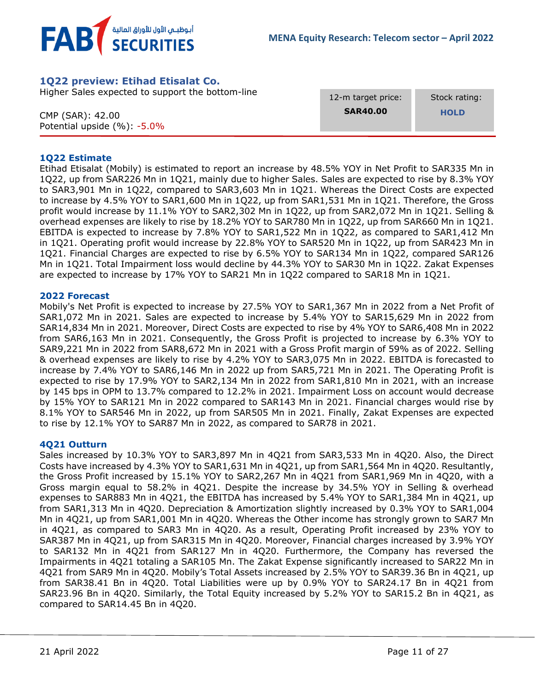



## <span id="page-10-0"></span>**1Q22 preview: Etihad Etisalat Co.**

Higher Sales expected to support the bottom-line

CMP (SAR): 42.00 Potential upside (%): -5.0% 12-m target price: **SAR40.00**

 Stock rating:  **HOLD**

### **1Q22 Estimate**

Etihad Etisalat (Mobily) is estimated to report an increase by 48.5% YOY in Net Profit to SAR335 Mn in 1Q22, up from SAR226 Mn in 1Q21, mainly due to higher Sales. Sales are expected to rise by 8.3% YOY to SAR3,901 Mn in 1Q22, compared to SAR3,603 Mn in 1Q21. Whereas the Direct Costs are expected to increase by 4.5% YOY to SAR1,600 Mn in 1Q22, up from SAR1,531 Mn in 1Q21. Therefore, the Gross profit would increase by 11.1% YOY to SAR2,302 Mn in 1Q22, up from SAR2,072 Mn in 1Q21. Selling & overhead expenses are likely to rise by 18.2% YOY to SAR780 Mn in 1Q22, up from SAR660 Mn in 1Q21. EBITDA is expected to increase by 7.8% YOY to SAR1,522 Mn in 1Q22, as compared to SAR1,412 Mn in 1Q21. Operating profit would increase by 22.8% YOY to SAR520 Mn in 1Q22, up from SAR423 Mn in 1Q21. Financial Charges are expected to rise by 6.5% YOY to SAR134 Mn in 1Q22, compared SAR126 Mn in 1Q21. Total Impairment loss would decline by 44.3% YOY to SAR30 Mn in 1Q22. Zakat Expenses are expected to increase by 17% YOY to SAR21 Mn in 1Q22 compared to SAR18 Mn in 1Q21.

### **2022 Forecast**

Mobily's Net Profit is expected to increase by 27.5% YOY to SAR1,367 Mn in 2022 from a Net Profit of SAR1,072 Mn in 2021. Sales are expected to increase by 5.4% YOY to SAR15,629 Mn in 2022 from SAR14,834 Mn in 2021. Moreover, Direct Costs are expected to rise by 4% YOY to SAR6,408 Mn in 2022 from SAR6,163 Mn in 2021. Consequently, the Gross Profit is projected to increase by 6.3% YOY to SAR9,221 Mn in 2022 from SAR8,672 Mn in 2021 with a Gross Profit margin of 59% as of 2022. Selling & overhead expenses are likely to rise by 4.2% YOY to SAR3,075 Mn in 2022. EBITDA is forecasted to increase by 7.4% YOY to SAR6,146 Mn in 2022 up from SAR5,721 Mn in 2021. The Operating Profit is expected to rise by 17.9% YOY to SAR2,134 Mn in 2022 from SAR1,810 Mn in 2021, with an increase by 145 bps in OPM to 13.7% compared to 12.2% in 2021. Impairment Loss on account would decrease by 15% YOY to SAR121 Mn in 2022 compared to SAR143 Mn in 2021. Financial charges would rise by 8.1% YOY to SAR546 Mn in 2022, up from SAR505 Mn in 2021. Finally, Zakat Expenses are expected to rise by 12.1% YOY to SAR87 Mn in 2022, as compared to SAR78 in 2021.

### **4Q21 Outturn**

Sales increased by 10.3% YOY to SAR3,897 Mn in 4Q21 from SAR3,533 Mn in 4Q20. Also, the Direct Costs have increased by 4.3% YOY to SAR1,631 Mn in 4Q21, up from SAR1,564 Mn in 4Q20. Resultantly, the Gross Profit increased by 15.1% YOY to SAR2,267 Mn in 4Q21 from SAR1,969 Mn in 4Q20, with a Gross margin equal to 58.2% in 4Q21. Despite the increase by 34.5% YOY in Selling & overhead expenses to SAR883 Mn in 4Q21, the EBITDA has increased by 5.4% YOY to SAR1,384 Mn in 4Q21, up from SAR1,313 Mn in 4Q20. Depreciation & Amortization slightly increased by 0.3% YOY to SAR1,004 Mn in 4Q21, up from SAR1,001 Mn in 4Q20. Whereas the Other income has strongly grown to SAR7 Mn in 4Q21, as compared to SAR3 Mn in 4Q20. As a result, Operating Profit increased by 23% YOY to SAR387 Mn in 4Q21, up from SAR315 Mn in 4Q20. Moreover, Financial charges increased by 3.9% YOY to SAR132 Mn in 4Q21 from SAR127 Mn in 4Q20. Furthermore, the Company has reversed the Impairments in 4Q21 totaling a SAR105 Mn. The Zakat Expense significantly increased to SAR22 Mn in 4Q21 from SAR9 Mn in 4Q20. Mobily's Total Assets increased by 2.5% YOY to SAR39.36 Bn in 4Q21, up from SAR38.41 Bn in 4Q20. Total Liabilities were up by 0.9% YOY to SAR24.17 Bn in 4Q21 from SAR23.96 Bn in 4Q20. Similarly, the Total Equity increased by 5.2% YOY to SAR15.2 Bn in 4Q21, as compared to SAR14.45 Bn in 4Q20.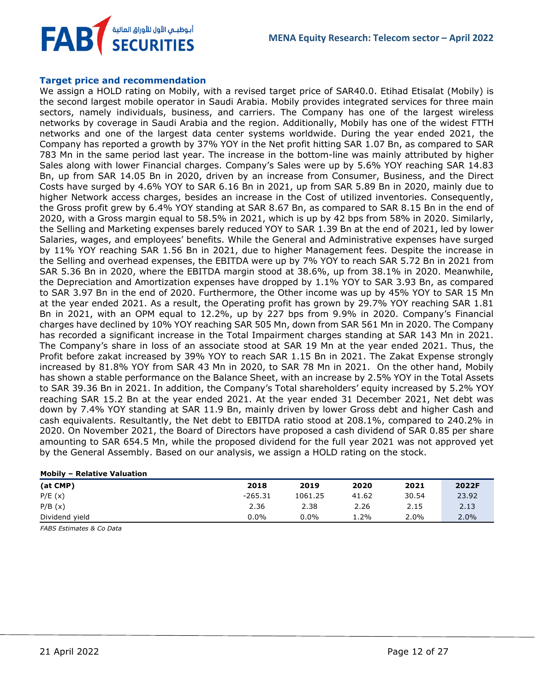

### **Target price and recommendation**

We assign a HOLD rating on Mobily, with a revised target price of SAR40.0. Etihad Etisalat (Mobily) is the second largest mobile operator in Saudi Arabia. Mobily provides integrated services for three main sectors, namely individuals, business, and carriers. The Company has one of the largest wireless networks by coverage in Saudi Arabia and the region. Additionally, Mobily has one of the widest FTTH networks and one of the largest data center systems worldwide. During the year ended 2021, the Company has reported a growth by 37% YOY in the Net profit hitting SAR 1.07 Bn, as compared to SAR 783 Mn in the same period last year. The increase in the bottom-line was mainly attributed by higher Sales along with lower Financial charges. Company's Sales were up by 5.6% YOY reaching SAR 14.83 Bn, up from SAR 14.05 Bn in 2020, driven by an increase from Consumer, Business, and the Direct Costs have surged by 4.6% YOY to SAR 6.16 Bn in 2021, up from SAR 5.89 Bn in 2020, mainly due to higher Network access charges, besides an increase in the Cost of utilized inventories. Consequently, the Gross profit grew by 6.4% YOY standing at SAR 8.67 Bn, as compared to SAR 8.15 Bn in the end of 2020, with a Gross margin equal to 58.5% in 2021, which is up by 42 bps from 58% in 2020. Similarly, the Selling and Marketing expenses barely reduced YOY to SAR 1.39 Bn at the end of 2021, led by lower Salaries, wages, and employees' benefits. While the General and Administrative expenses have surged by 11% YOY reaching SAR 1.56 Bn in 2021, due to higher Management fees. Despite the increase in the Selling and overhead expenses, the EBITDA were up by 7% YOY to reach SAR 5.72 Bn in 2021 from SAR 5.36 Bn in 2020, where the EBITDA margin stood at 38.6%, up from 38.1% in 2020. Meanwhile, the Depreciation and Amortization expenses have dropped by 1.1% YOY to SAR 3.93 Bn, as compared to SAR 3.97 Bn in the end of 2020. Furthermore, the Other income was up by 45% YOY to SAR 15 Mn at the year ended 2021. As a result, the Operating profit has grown by 29.7% YOY reaching SAR 1.81 Bn in 2021, with an OPM equal to 12.2%, up by 227 bps from 9.9% in 2020. Company's Financial charges have declined by 10% YOY reaching SAR 505 Mn, down from SAR 561 Mn in 2020. The Company has recorded a significant increase in the Total Impairment charges standing at SAR 143 Mn in 2021. The Company's share in loss of an associate stood at SAR 19 Mn at the year ended 2021. Thus, the Profit before zakat increased by 39% YOY to reach SAR 1.15 Bn in 2021. The Zakat Expense strongly increased by 81.8% YOY from SAR 43 Mn in 2020, to SAR 78 Mn in 2021. On the other hand, Mobily has shown a stable performance on the Balance Sheet, with an increase by 2.5% YOY in the Total Assets to SAR 39.36 Bn in 2021. In addition, the Company's Total shareholders' equity increased by 5.2% YOY reaching SAR 15.2 Bn at the year ended 2021. At the year ended 31 December 2021, Net debt was down by 7.4% YOY standing at SAR 11.9 Bn, mainly driven by lower Gross debt and higher Cash and cash equivalents. Resultantly, the Net debt to EBITDA ratio stood at 208.1%, compared to 240.2% in 2020. On November 2021, the Board of Directors have proposed a cash dividend of SAR 0.85 per share amounting to SAR 654.5 Mn, while the proposed dividend for the full year 2021 was not approved yet by the General Assembly. Based on our analysis, we assign a HOLD rating on the stock.

| <b>Mobily - Relative Valuation</b> |           |         |       |       |         |
|------------------------------------|-----------|---------|-------|-------|---------|
| (at CMP)                           | 2018      | 2019    | 2020  | 2021  | 2022F   |
| P/E(x)                             | $-265.31$ | 1061.25 | 41.62 | 30.54 | 23.92   |
| P/B(x)                             | 2.36      | 2.38    | 2.26  | 2.15  | 2.13    |
| Dividend yield                     | $0.0\%$   | $0.0\%$ | 1.2%  | 2.0%  | $2.0\%$ |

*FABS Estimates & Co Data*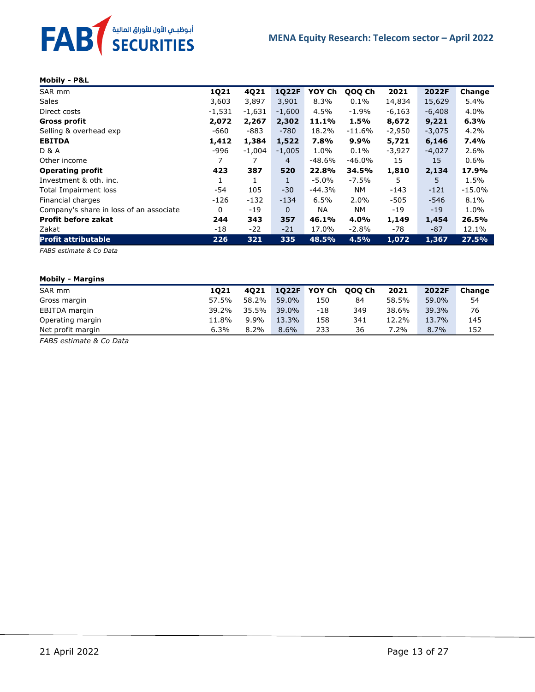

#### **Mobily - P&L**

| SAR mm                                  | 1Q21     | 4Q21     | <b>1Q22F</b> | YOY Ch   | QOQ Ch    | 2021     | 2022F    | Change   |
|-----------------------------------------|----------|----------|--------------|----------|-----------|----------|----------|----------|
| <b>Sales</b>                            | 3,603    | 3,897    | 3,901        | 8.3%     | $0.1\%$   | 14,834   | 15,629   | 5.4%     |
| Direct costs                            | $-1,531$ | $-1,631$ | $-1,600$     | 4.5%     | $-1.9\%$  | $-6,163$ | $-6,408$ | 4.0%     |
| Gross profit                            | 2,072    | 2,267    | 2,302        | 11.1%    | 1.5%      | 8,672    | 9,221    | 6.3%     |
| Selling & overhead exp                  | $-660$   | $-883$   | $-780$       | 18.2%    | $-11.6%$  | $-2,950$ | $-3,075$ | 4.2%     |
| <b>EBITDA</b>                           | 1,412    | 1,384    | 1,522        | 7.8%     | 9.9%      | 5,721    | 6,146    | 7.4%     |
| <b>D &amp; A</b>                        | -996     | $-1.004$ | $-1,005$     | 1.0%     | $0.1\%$   | $-3,927$ | $-4,027$ | 2.6%     |
| Other income                            | 7        | 7        | 4            | $-48.6%$ | $-46.0%$  | 15       | 15       | $0.6\%$  |
| <b>Operating profit</b>                 | 423      | 387      | 520          | 22.8%    | 34.5%     | 1,810    | 2,134    | 17.9%    |
| Investment & oth. inc.                  |          | 1        | 1            | -5.0%    | $-7.5%$   | 5        | 5.       | 1.5%     |
| Total Impairment loss                   | -54      | 105      | $-30$        | $-44.3%$ | <b>NM</b> | $-143$   | $-121$   | $-15.0%$ |
| Financial charges                       | $-126$   | $-132$   | $-134$       | 6.5%     | 2.0%      | $-505$   | $-546$   | 8.1%     |
| Company's share in loss of an associate | 0        | $-19$    | $\Omega$     | NA.      | NM.       | -19      | $-19$    | 1.0%     |
| <b>Profit before zakat</b>              | 244      | 343      | 357          | 46.1%    | 4.0%      | 1,149    | 1,454    | 26.5%    |
| Zakat                                   | -18      | $-22$    | $-21$        | 17.0%    | $-2.8%$   | -78      | -87      | 12.1%    |
| <b>Profit attributable</b>              | 226      | 321      | 335          | 48.5%    | 4.5%      | 1,072    | 1,367    | 27.5%    |

*FABS estimate & Co Data* 

#### **Mobily - Margins**

| SAR mm            | 1021  | 4021    | 1022F   | YOY Ch | 000 Ch | 2021  | 2022F | Change |
|-------------------|-------|---------|---------|--------|--------|-------|-------|--------|
| Gross margin      | 57.5% | 58.2%   | 59.0%   | 150    | 84     | 58.5% | 59.0% | 54     |
| EBITDA margin     | 39.2% | 35.5%   | 39.0%   | $-18$  | 349    | 38.6% | 39.3% | 76     |
| Operating margin  | 11.8% | $9.9\%$ | 13.3%   | 158    | 341    | 12.2% | 13.7% | 145    |
| Net profit margin | 6.3%  | $8.2\%$ | $8.6\%$ | 233    | 36     | 7.2%  | 8.7%  | 152    |

*FABS estimate & Co Data*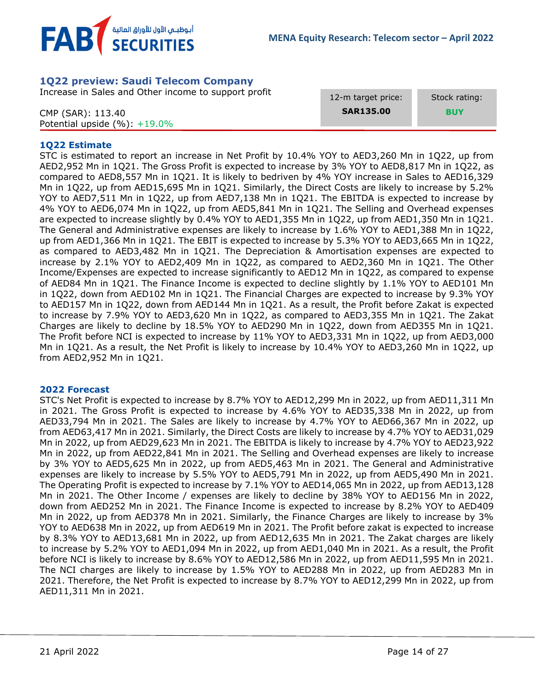

## <span id="page-13-0"></span>**1Q22 preview: Saudi Telecom Company**

Increase in Sales and Other income to support profit

CMP (SAR): 113.40 Potential upside (%): +19.0% 12-m target price:

Stock rating:

**SAR135.00**

 **BUY**

## **1Q22 Estimate**

STC is estimated to report an increase in Net Profit by 10.4% YOY to AED3,260 Mn in 1Q22, up from AED2,952 Mn in 1Q21. The Gross Profit is expected to increase by 3% YOY to AED8,817 Mn in 1Q22, as compared to AED8,557 Mn in 1Q21. It is likely to bedriven by 4% YOY increase in Sales to AED16,329 Mn in 1Q22, up from AED15,695 Mn in 1Q21. Similarly, the Direct Costs are likely to increase by 5.2% YOY to AED7,511 Mn in 1Q22, up from AED7,138 Mn in 1Q21. The EBITDA is expected to increase by 4% YOY to AED6,074 Mn in 1Q22, up from AED5,841 Mn in 1Q21. The Selling and Overhead expenses are expected to increase slightly by 0.4% YOY to AED1,355 Mn in 1Q22, up from AED1,350 Mn in 1Q21. The General and Administrative expenses are likely to increase by 1.6% YOY to AED1,388 Mn in 1Q22, up from AED1,366 Mn in 1Q21. The EBIT is expected to increase by 5.3% YOY to AED3,665 Mn in 1Q22, as compared to AED3,482 Mn in 1Q21. The Depreciation & Amortisation expenses are expected to increase by 2.1% YOY to AED2,409 Mn in 1Q22, as compared to AED2,360 Mn in 1Q21. The Other Income/Expenses are expected to increase significantly to AED12 Mn in 1Q22, as compared to expense of AED84 Mn in 1Q21. The Finance Income is expected to decline slightly by 1.1% YOY to AED101 Mn in 1Q22, down from AED102 Mn in 1Q21. The Financial Charges are expected to increase by 9.3% YOY to AED157 Mn in 1Q22, down from AED144 Mn in 1Q21. As a result, the Profit before Zakat is expected to increase by 7.9% YOY to AED3,620 Mn in 1Q22, as compared to AED3,355 Mn in 1Q21. The Zakat Charges are likely to decline by 18.5% YOY to AED290 Mn in 1Q22, down from AED355 Mn in 1Q21. The Profit before NCI is expected to increase by 11% YOY to AED3,331 Mn in 1Q22, up from AED3,000 Mn in 1Q21. As a result, the Net Profit is likely to increase by 10.4% YOY to AED3,260 Mn in 1Q22, up from AED2,952 Mn in 1Q21.

## **2022 Forecast**

STC's Net Profit is expected to increase by 8.7% YOY to AED12,299 Mn in 2022, up from AED11,311 Mn in 2021. The Gross Profit is expected to increase by 4.6% YOY to AED35,338 Mn in 2022, up from AED33,794 Mn in 2021. The Sales are likely to increase by 4.7% YOY to AED66,367 Mn in 2022, up from AED63,417 Mn in 2021. Similarly, the Direct Costs are likely to increase by 4.7% YOY to AED31,029 Mn in 2022, up from AED29,623 Mn in 2021. The EBITDA is likely to increase by 4.7% YOY to AED23,922 Mn in 2022, up from AED22,841 Mn in 2021. The Selling and Overhead expenses are likely to increase by 3% YOY to AED5,625 Mn in 2022, up from AED5,463 Mn in 2021. The General and Administrative expenses are likely to increase by 5.5% YOY to AED5,791 Mn in 2022, up from AED5,490 Mn in 2021. The Operating Profit is expected to increase by 7.1% YOY to AED14,065 Mn in 2022, up from AED13,128 Mn in 2021. The Other Income / expenses are likely to decline by 38% YOY to AED156 Mn in 2022, down from AED252 Mn in 2021. The Finance Income is expected to increase by 8.2% YOY to AED409 Mn in 2022, up from AED378 Mn in 2021. Similarly, the Finance Charges are likely to increase by 3% YOY to AED638 Mn in 2022, up from AED619 Mn in 2021. The Profit before zakat is expected to increase by 8.3% YOY to AED13,681 Mn in 2022, up from AED12,635 Mn in 2021. The Zakat charges are likely to increase by 5.2% YOY to AED1,094 Mn in 2022, up from AED1,040 Mn in 2021. As a result, the Profit before NCI is likely to increase by 8.6% YOY to AED12,586 Mn in 2022, up from AED11,595 Mn in 2021. The NCI charges are likely to increase by 1.5% YOY to AED288 Mn in 2022, up from AED283 Mn in 2021. Therefore, the Net Profit is expected to increase by 8.7% YOY to AED12,299 Mn in 2022, up from AED11,311 Mn in 2021.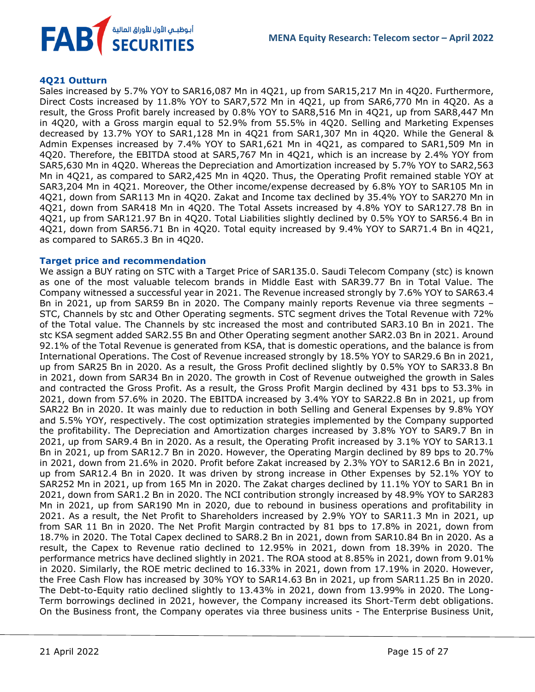

#### **4Q21 Outturn**

Sales increased by 5.7% YOY to SAR16,087 Mn in 4Q21, up from SAR15,217 Mn in 4Q20. Furthermore, Direct Costs increased by 11.8% YOY to SAR7,572 Mn in 4Q21, up from SAR6,770 Mn in 4Q20. As a result, the Gross Profit barely increased by 0.8% YOY to SAR8,516 Mn in 4Q21, up from SAR8,447 Mn in 4Q20, with a Gross margin equal to 52.9% from 55.5% in 4Q20. Selling and Marketing Expenses decreased by 13.7% YOY to SAR1,128 Mn in 4Q21 from SAR1,307 Mn in 4Q20. While the General & Admin Expenses increased by 7.4% YOY to SAR1,621 Mn in 4Q21, as compared to SAR1,509 Mn in 4Q20. Therefore, the EBITDA stood at SAR5,767 Mn in 4Q21, which is an increase by 2.4% YOY from SAR5,630 Mn in 4Q20. Whereas the Depreciation and Amortization increased by 5.7% YOY to SAR2,563 Mn in 4Q21, as compared to SAR2,425 Mn in 4Q20. Thus, the Operating Profit remained stable YOY at SAR3,204 Mn in 4Q21. Moreover, the Other income/expense decreased by 6.8% YOY to SAR105 Mn in 4Q21, down from SAR113 Mn in 4Q20. Zakat and Income tax declined by 35.4% YOY to SAR270 Mn in 4Q21, down from SAR418 Mn in 4Q20. The Total Assets increased by 4.8% YOY to SAR127.78 Bn in 4Q21, up from SAR121.97 Bn in 4Q20. Total Liabilities slightly declined by 0.5% YOY to SAR56.4 Bn in 4Q21, down from SAR56.71 Bn in 4Q20. Total equity increased by 9.4% YOY to SAR71.4 Bn in 4Q21, as compared to SAR65.3 Bn in 4Q20.

#### **Target price and recommendation**

We assign a BUY rating on STC with a Target Price of SAR135.0. Saudi Telecom Company (stc) is known as one of the most valuable telecom brands in Middle East with SAR39.77 Bn in Total Value. The Company witnessed a successful year in 2021. The Revenue increased strongly by 7.6% YOY to SAR63.4 Bn in 2021, up from SAR59 Bn in 2020. The Company mainly reports Revenue via three segments – STC, Channels by stc and Other Operating segments. STC segment drives the Total Revenue with 72% of the Total value. The Channels by stc increased the most and contributed SAR3.10 Bn in 2021. The stc KSA segment added SAR2.55 Bn and Other Operating segment another SAR2.03 Bn in 2021. Around 92.1% of the Total Revenue is generated from KSA, that is domestic operations, and the balance is from International Operations. The Cost of Revenue increased strongly by 18.5% YOY to SAR29.6 Bn in 2021, up from SAR25 Bn in 2020. As a result, the Gross Profit declined slightly by 0.5% YOY to SAR33.8 Bn in 2021, down from SAR34 Bn in 2020. The growth in Cost of Revenue outweighed the growth in Sales and contracted the Gross Profit. As a result, the Gross Profit Margin declined by 431 bps to 53.3% in 2021, down from 57.6% in 2020. The EBITDA increased by 3.4% YOY to SAR22.8 Bn in 2021, up from SAR22 Bn in 2020. It was mainly due to reduction in both Selling and General Expenses by 9.8% YOY and 5.5% YOY, respectively. The cost optimization strategies implemented by the Company supported the profitability. The Depreciation and Amortization charges increased by 3.8% YOY to SAR9.7 Bn in 2021, up from SAR9.4 Bn in 2020. As a result, the Operating Profit increased by 3.1% YOY to SAR13.1 Bn in 2021, up from SAR12.7 Bn in 2020. However, the Operating Margin declined by 89 bps to 20.7% in 2021, down from 21.6% in 2020. Profit before Zakat increased by 2.3% YOY to SAR12.6 Bn in 2021, up from SAR12.4 Bn in 2020. It was driven by strong increase in Other Expenses by 52.1% YOY to SAR252 Mn in 2021, up from 165 Mn in 2020. The Zakat charges declined by 11.1% YOY to SAR1 Bn in 2021, down from SAR1.2 Bn in 2020. The NCI contribution strongly increased by 48.9% YOY to SAR283 Mn in 2021, up from SAR190 Mn in 2020, due to rebound in business operations and profitability in 2021. As a result, the Net Profit to Shareholders increased by 2.9% YOY to SAR11.3 Mn in 2021, up from SAR 11 Bn in 2020. The Net Profit Margin contracted by 81 bps to 17.8% in 2021, down from 18.7% in 2020. The Total Capex declined to SAR8.2 Bn in 2021, down from SAR10.84 Bn in 2020. As a result, the Capex to Revenue ratio declined to 12.95% in 2021, down from 18.39% in 2020. The performance metrics have declined slightly in 2021. The ROA stood at 8.85% in 2021, down from 9.01% in 2020. Similarly, the ROE metric declined to 16.33% in 2021, down from 17.19% in 2020. However, the Free Cash Flow has increased by 30% YOY to SAR14.63 Bn in 2021, up from SAR11.25 Bn in 2020. The Debt-to-Equity ratio declined slightly to 13.43% in 2021, down from 13.99% in 2020. The Long-Term borrowings declined in 2021, however, the Company increased its Short-Term debt obligations. On the Business front, the Company operates via three business units - The Enterprise Business Unit,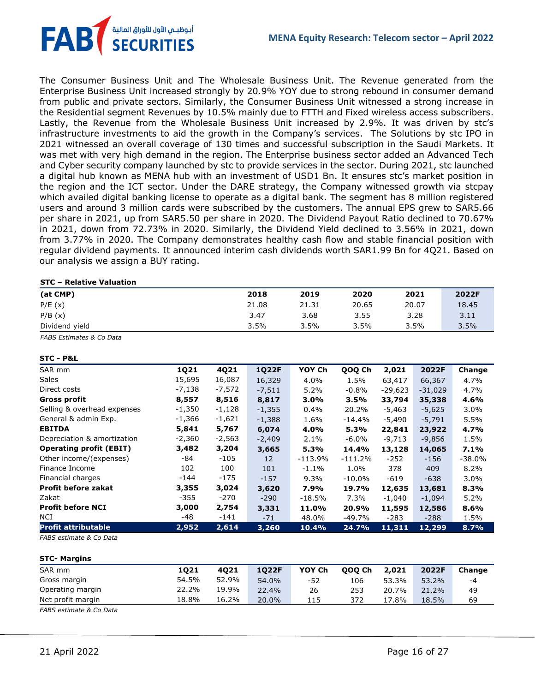أبوظبـي الأول للأوراق المالية<br>SECURITIES **FAB** 

The Consumer Business Unit and The Wholesale Business Unit. The Revenue generated from the Enterprise Business Unit increased strongly by 20.9% YOY due to strong rebound in consumer demand from public and private sectors. Similarly, the Consumer Business Unit witnessed a strong increase in the Residential segment Revenues by 10.5% mainly due to FTTH and Fixed wireless access subscribers. Lastly, the Revenue from the Wholesale Business Unit increased by 2.9%. It was driven by stc's infrastructure investments to aid the growth in the Company's services. The Solutions by stc IPO in 2021 witnessed an overall coverage of 130 times and successful subscription in the Saudi Markets. It was met with very high demand in the region. The Enterprise business sector added an Advanced Tech and Cyber security company launched by stc to provide services in the sector. During 2021, stc launched a digital hub known as MENA hub with an investment of USD1 Bn. It ensures stc's market position in the region and the ICT sector. Under the DARE strategy, the Company witnessed growth via stcpay which availed digital banking license to operate as a digital bank. The segment has 8 million registered users and around 3 million cards were subscribed by the customers. The annual EPS grew to SAR5.66 per share in 2021, up from SAR5.50 per share in 2020. The Dividend Payout Ratio declined to 70.67% in 2021, down from 72.73% in 2020. Similarly, the Dividend Yield declined to 3.56% in 2021, down from 3.77% in 2020. The Company demonstrates healthy cash flow and stable financial position with regular dividend payments. It announced interim cash dividends worth SAR1.99 Bn for 4Q21. Based on our analysis we assign a BUY rating.

#### **STC – Relative Valuation**

| (at CMP)       | 2018  | 2019  | 2020  | 2021  | 2022F |
|----------------|-------|-------|-------|-------|-------|
| P/E(x)         | 21.08 | 21.31 | 20.65 | 20.07 | 18.45 |
| P/B(x)         | 3.47  | 3.68  | 3.55  | 3.28  | 3.11  |
| Dividend yield | 3.5%  | 3.5%  | 3.5%  | 3.5%  | 3.5%  |

*FABS Estimates & Co Data*

#### **STC - P&L**

| SAR mm                         | 1Q21     | 4Q21     | <b>1Q22F</b>    | YOY Ch    | QOQ Ch    | 2,021     | 2022F     | Change   |
|--------------------------------|----------|----------|-----------------|-----------|-----------|-----------|-----------|----------|
| <b>Sales</b>                   | 15,695   | 16,087   | 16,329          | 4.0%      | 1.5%      | 63,417    | 66,367    | 4.7%     |
| Direct costs                   | -7,138   | $-7,572$ | $-7,511$        | 5.2%      | -0.8%     | $-29,623$ | $-31,029$ | 4.7%     |
| Gross profit                   | 8,557    | 8,516    | 8,817           | $3.0\%$   | 3.5%      | 33,794    | 35,338    | 4.6%     |
| Selling & overhead expenses    | -1,350   | -1,128   | $-1,355$        | $0.4\%$   | 20.2%     | $-5,463$  | $-5,625$  | 3.0%     |
| General & admin Exp.           | -1,366   | $-1,621$ | $-1,388$        | 1.6%      | -14.4%    | $-5,490$  | $-5,791$  | 5.5%     |
| <b>EBITDA</b>                  | 5,841    | 5,767    | 6,074           | 4.0%      | 5.3%      | 22,841    | 23,922    | 4.7%     |
| Depreciation & amortization    | $-2,360$ | $-2,563$ | $-2,409$        | $2.1\%$   | -6.0%     | $-9,713$  | $-9,856$  | 1.5%     |
| <b>Operating profit (EBIT)</b> | 3,482    | 3,204    | 3,665           | 5.3%      | 14.4%     | 13,128    | 14,065    | 7.1%     |
| Other income/(expenses)        | -84      | -105     | 12 <sup>2</sup> | $-113.9%$ | -111.2%   | $-252$    | -156      | $-38.0%$ |
| Finance Income                 | 102      | 100      | 101             | $-1.1\%$  | 1.0%      | 378       | 409       | 8.2%     |
| Financial charges              | -144     | -175     | $-157$          | $9.3\%$   | $-10.0\%$ | $-619$    | $-638$    | 3.0%     |
| <b>Profit before zakat</b>     | 3,355    | 3,024    | 3,620           | 7.9%      | 19.7%     | 12,635    | 13,681    | 8.3%     |
| Zakat                          | -355     | -270     | $-290$          | $-18.5%$  | 7.3%      | $-1,040$  | $-1,094$  | 5.2%     |
| <b>Profit before NCI</b>       | 3,000    | 2,754    | 3,331           | 11.0%     | 20.9%     | 11,595    | 12,586    | 8.6%     |
| NCI                            | -48      | -141     | $-71$           | 48.0%     | -49.7%    | $-283$    | $-288$    | 1.5%     |
| <b>Profit attributable</b>     | 2,952    | 2,614    | 3,260           | 10.4%     | 24.7%     | 11,311    | 12,299    | 8.7%     |

*FABS estimate & Co Data*

#### **STC- Margins**

| SAR mm            | 1021  | 4021  | 1022F | YOY Ch | <b>000 Ch</b> | 2,021 | 2022F | Change |
|-------------------|-------|-------|-------|--------|---------------|-------|-------|--------|
| Gross margin      | 54.5% | 52.9% | 54.0% | -52    | 106           | 53.3% | 53.2% | -4     |
| Operating margin  | 22.2% | 19.9% | 22.4% | 26     | 253           | 20.7% | 21.2% | 49     |
| Net profit margin | 18.8% | 16.2% | 20.0% | 115    | 372           | 17.8% | 18.5% | 69     |

*FABS estimate & Co Data*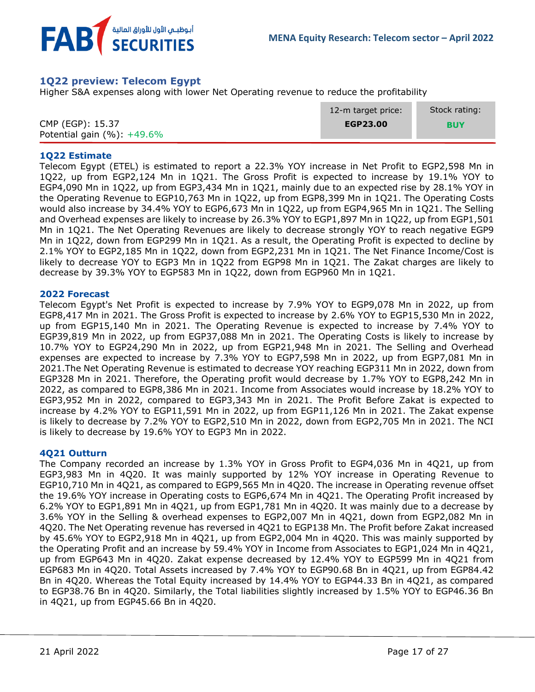

## <span id="page-16-0"></span>**1Q22 preview: Telecom Egypt**

Higher S&A expenses along with lower Net Operating revenue to reduce the profitability

|                                | 12-m target price: | Stock rating: |
|--------------------------------|--------------------|---------------|
| CMP (EGP): 15.37               | EGP23.00           | <b>BUY</b>    |
| Potential gain $(\%): +49.6\%$ |                    |               |

### **1Q22 Estimate**

Telecom Egypt (ETEL) is estimated to report a 22.3% YOY increase in Net Profit to EGP2,598 Mn in 1Q22, up from EGP2,124 Mn in 1Q21. The Gross Profit is expected to increase by 19.1% YOY to EGP4,090 Mn in 1Q22, up from EGP3,434 Mn in 1Q21, mainly due to an expected rise by 28.1% YOY in the Operating Revenue to EGP10,763 Mn in 1Q22, up from EGP8,399 Mn in 1Q21. The Operating Costs would also increase by 34.4% YOY to EGP6,673 Mn in 1Q22, up from EGP4,965 Mn in 1Q21. The Selling and Overhead expenses are likely to increase by 26.3% YOY to EGP1,897 Mn in 1Q22, up from EGP1,501 Mn in 1Q21. The Net Operating Revenues are likely to decrease strongly YOY to reach negative EGP9 Mn in 1Q22, down from EGP299 Mn in 1Q21. As a result, the Operating Profit is expected to decline by 2.1% YOY to EGP2,185 Mn in 1Q22, down from EGP2,231 Mn in 1Q21. The Net Finance Income/Cost is likely to decrease YOY to EGP3 Mn in 1Q22 from EGP98 Mn in 1Q21. The Zakat charges are likely to decrease by 39.3% YOY to EGP583 Mn in 1Q22, down from EGP960 Mn in 1Q21.

### **2022 Forecast**

Telecom Egypt's Net Profit is expected to increase by 7.9% YOY to EGP9,078 Mn in 2022, up from EGP8,417 Mn in 2021. The Gross Profit is expected to increase by 2.6% YOY to EGP15,530 Mn in 2022, up from EGP15,140 Mn in 2021. The Operating Revenue is expected to increase by 7.4% YOY to EGP39,819 Mn in 2022, up from EGP37,088 Mn in 2021. The Operating Costs is likely to increase by 10.7% YOY to EGP24,290 Mn in 2022, up from EGP21,948 Mn in 2021. The Selling and Overhead expenses are expected to increase by 7.3% YOY to EGP7,598 Mn in 2022, up from EGP7,081 Mn in 2021.The Net Operating Revenue is estimated to decrease YOY reaching EGP311 Mn in 2022, down from EGP328 Mn in 2021. Therefore, the Operating profit would decrease by 1.7% YOY to EGP8,242 Mn in 2022, as compared to EGP8,386 Mn in 2021. Income from Associates would increase by 18.2% YOY to EGP3,952 Mn in 2022, compared to EGP3,343 Mn in 2021. The Profit Before Zakat is expected to increase by 4.2% YOY to EGP11,591 Mn in 2022, up from EGP11,126 Mn in 2021. The Zakat expense is likely to decrease by 7.2% YOY to EGP2,510 Mn in 2022, down from EGP2,705 Mn in 2021. The NCI is likely to decrease by 19.6% YOY to EGP3 Mn in 2022.

### **4Q21 Outturn**

The Company recorded an increase by 1.3% YOY in Gross Profit to EGP4,036 Mn in 4Q21, up from EGP3,983 Mn in 4Q20. It was mainly supported by 12% YOY increase in Operating Revenue to EGP10,710 Mn in 4Q21, as compared to EGP9,565 Mn in 4Q20. The increase in Operating revenue offset the 19.6% YOY increase in Operating costs to EGP6,674 Mn in 4Q21. The Operating Profit increased by 6.2% YOY to EGP1,891 Mn in 4Q21, up from EGP1,781 Mn in 4Q20. It was mainly due to a decrease by 3.6% YOY in the Selling & overhead expenses to EGP2,007 Mn in 4Q21, down from EGP2,082 Mn in 4Q20. The Net Operating revenue has reversed in 4Q21 to EGP138 Mn. The Profit before Zakat increased by 45.6% YOY to EGP2,918 Mn in 4Q21, up from EGP2,004 Mn in 4Q20. This was mainly supported by the Operating Profit and an increase by 59.4% YOY in Income from Associates to EGP1,024 Mn in 4Q21, up from EGP643 Mn in 4Q20. Zakat expense decreased by 12.4% YOY to EGP599 Mn in 4Q21 from EGP683 Mn in 4Q20. Total Assets increased by 7.4% YOY to EGP90.68 Bn in 4Q21, up from EGP84.42 Bn in 4Q20. Whereas the Total Equity increased by 14.4% YOY to EGP44.33 Bn in 4Q21, as compared to EGP38.76 Bn in 4Q20. Similarly, the Total liabilities slightly increased by 1.5% YOY to EGP46.36 Bn in 4Q21, up from EGP45.66 Bn in 4Q20.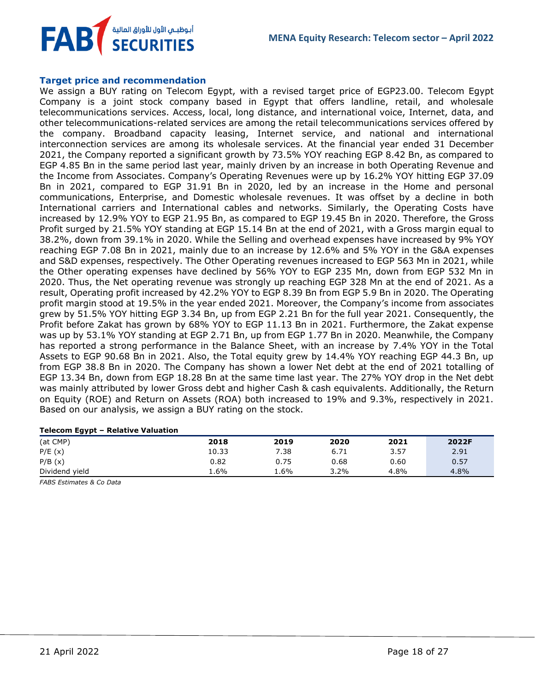

#### **Target price and recommendation**

We assign a BUY rating on Telecom Egypt, with a revised target price of EGP23.00. Telecom Egypt Company is a joint stock company based in Egypt that offers landline, retail, and wholesale telecommunications services. Access, local, long distance, and international voice, Internet, data, and other telecommunications-related services are among the retail telecommunications services offered by the company. Broadband capacity leasing, Internet service, and national and international interconnection services are among its wholesale services. At the financial year ended 31 December 2021, the Company reported a significant growth by 73.5% YOY reaching EGP 8.42 Bn, as compared to EGP 4.85 Bn in the same period last year, mainly driven by an increase in both Operating Revenue and the Income from Associates. Company's Operating Revenues were up by 16.2% YOY hitting EGP 37.09 Bn in 2021, compared to EGP 31.91 Bn in 2020, led by an increase in the Home and personal communications, Enterprise, and Domestic wholesale revenues. It was offset by a decline in both International carriers and International cables and networks. Similarly, the Operating Costs have increased by 12.9% YOY to EGP 21.95 Bn, as compared to EGP 19.45 Bn in 2020. Therefore, the Gross Profit surged by 21.5% YOY standing at EGP 15.14 Bn at the end of 2021, with a Gross margin equal to 38.2%, down from 39.1% in 2020. While the Selling and overhead expenses have increased by 9% YOY reaching EGP 7.08 Bn in 2021, mainly due to an increase by 12.6% and 5% YOY in the G&A expenses and S&D expenses, respectively. The Other Operating revenues increased to EGP 563 Mn in 2021, while the Other operating expenses have declined by 56% YOY to EGP 235 Mn, down from EGP 532 Mn in 2020. Thus, the Net operating revenue was strongly up reaching EGP 328 Mn at the end of 2021. As a result, Operating profit increased by 42.2% YOY to EGP 8.39 Bn from EGP 5.9 Bn in 2020. The Operating profit margin stood at 19.5% in the year ended 2021. Moreover, the Company's income from associates grew by 51.5% YOY hitting EGP 3.34 Bn, up from EGP 2.21 Bn for the full year 2021. Consequently, the Profit before Zakat has grown by 68% YOY to EGP 11.13 Bn in 2021. Furthermore, the Zakat expense was up by 53.1% YOY standing at EGP 2.71 Bn, up from EGP 1.77 Bn in 2020. Meanwhile, the Company has reported a strong performance in the Balance Sheet, with an increase by 7.4% YOY in the Total Assets to EGP 90.68 Bn in 2021. Also, the Total equity grew by 14.4% YOY reaching EGP 44.3 Bn, up from EGP 38.8 Bn in 2020. The Company has shown a lower Net debt at the end of 2021 totalling of EGP 13.34 Bn, down from EGP 18.28 Bn at the same time last year. The 27% YOY drop in the Net debt was mainly attributed by lower Gross debt and higher Cash & cash equivalents. Additionally, the Return on Equity (ROE) and Return on Assets (ROA) both increased to 19% and 9.3%, respectively in 2021. Based on our analysis, we assign a BUY rating on the stock.

| Telecom Egypt – Relative Valuation |       |      |         |      |       |
|------------------------------------|-------|------|---------|------|-------|
| (at CMP)                           | 2018  | 2019 | 2020    | 2021 | 2022F |
| P/E(x)                             | 10.33 | 7.38 | 6.71    | 3.57 | 2.91  |
| P/B(x)                             | 0.82  | 0.75 | 0.68    | 0.60 | 0.57  |
| Dividend yield                     | 1.6%  | 1.6% | $3.2\%$ | 4.8% | 4.8%  |

### **Telecom Egypt – Relative Valuation**

*FABS Estimates & Co Data*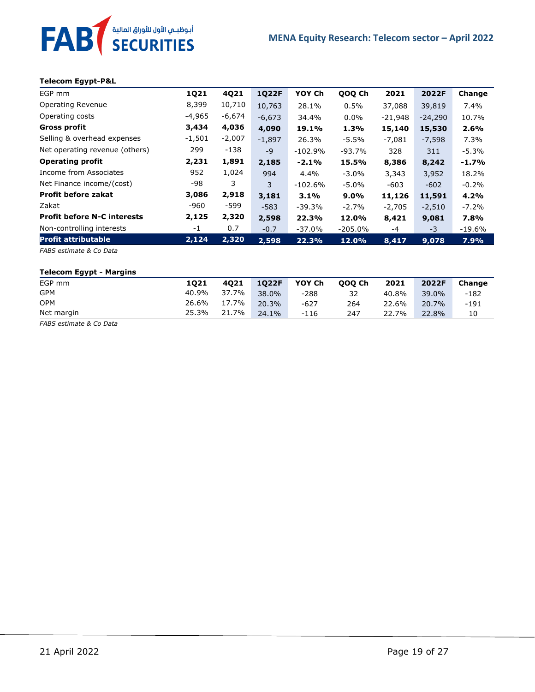#### **Telecom Egypt-P&L**

FAB<sup>T</sup> SECURITIES

| EGP mm                             | 1Q21     | 4Q21     | <b>1Q22F</b> | YOY Ch    | QOQ Ch    | 2021      | 2022F     | Change   |
|------------------------------------|----------|----------|--------------|-----------|-----------|-----------|-----------|----------|
| Operating Revenue                  | 8,399    | 10,710   | 10,763       | 28.1%     | 0.5%      | 37,088    | 39,819    | 7.4%     |
| Operating costs                    | -4,965   | -6,674   | $-6,673$     | 34.4%     | $0.0\%$   | $-21,948$ | $-24.290$ | 10.7%    |
| <b>Gross profit</b>                | 3,434    | 4,036    | 4,090        | 19.1%     | 1.3%      | 15,140    | 15,530    | 2.6%     |
| Selling & overhead expenses        | $-1,501$ | $-2,007$ | $-1,897$     | 26.3%     | $-5.5%$   | $-7,081$  | $-7,598$  | 7.3%     |
| Net operating revenue (others)     | 299      | $-138$   | $-9$         | $-102.9%$ | $-93.7%$  | 328       | 311       | -5.3%    |
| <b>Operating profit</b>            | 2,231    | 1,891    | 2,185        | $-2.1%$   | 15.5%     | 8,386     | 8,242     | $-1.7%$  |
| Income from Associates             | 952      | 1,024    | 994          | $4.4\%$   | $-3.0\%$  | 3,343     | 3,952     | 18.2%    |
| Net Finance income/(cost)          | -98      | 3        | 3            | $-102.6%$ | $-5.0\%$  | $-603$    | $-602$    | $-0.2\%$ |
| <b>Profit before zakat</b>         | 3,086    | 2,918    | 3,181        | $3.1\%$   | $9.0\%$   | 11,126    | 11,591    | 4.2%     |
| Zakat                              | -960     | -599     | $-583$       | $-39.3%$  | $-2.7%$   | $-2,705$  | $-2,510$  | $-7.2\%$ |
| <b>Profit before N-C interests</b> | 2,125    | 2,320    | 2,598        | 22.3%     | 12.0%     | 8,421     | 9,081     | 7.8%     |
| Non-controlling interests          | $-1$     | 0.7      | $-0.7$       | $-37.0%$  | $-205.0%$ | -4        | $-3$      | $-19.6%$ |
| <b>Profit attributable</b>         | 2,124    | 2,320    | 2,598        | 22.3%     | 12.0%     | 8,417     | 9,078     | 7.9%     |

*FABS estimate & Co Data*

#### **Telecom Egypt - Margins**

| EGP mm         | 1021  | 4021  | 1022F | YOY Ch | 000 Ch | 2021  | 2022F | Change |
|----------------|-------|-------|-------|--------|--------|-------|-------|--------|
| <b>GPM</b>     | 40.9% | 37.7% | 38.0% | $-288$ | 32     | 40.8% | 39.0% | $-182$ |
| OPM            | 26.6% | 17.7% | 20.3% | $-627$ | 264    | 22.6% | 20.7% | $-191$ |
| Net margin     | 25.3% | 21.7% | 24.1% | $-116$ | 247    | 22.7% | 22.8% | 10     |
| $\blacksquare$ |       |       |       |        |        |       |       |        |

*FABS estimate & Co Data*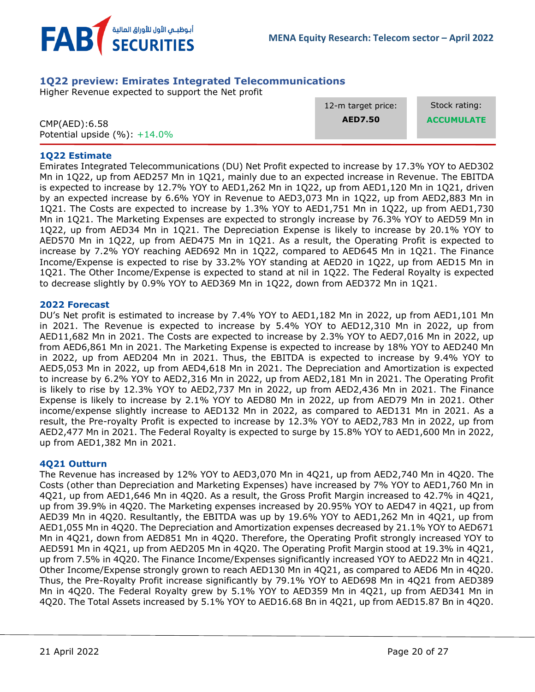

## <span id="page-19-0"></span>**1Q22 preview: Emirates Integrated Telecommunications**

Higher Revenue expected to support the Net profit

|                                  | 12-m target price: | Stock rating:     |
|----------------------------------|--------------------|-------------------|
| CMP(AED):6.58                    | <b>AED7.50</b>     | <b>ACCUMULATE</b> |
| Potential upside $(\%): +14.0\%$ |                    |                   |

### **1Q22 Estimate**

Emirates Integrated Telecommunications (DU) Net Profit expected to increase by 17.3% YOY to AED302 Mn in 1Q22, up from AED257 Mn in 1Q21, mainly due to an expected increase in Revenue. The EBITDA is expected to increase by 12.7% YOY to AED1,262 Mn in 1Q22, up from AED1,120 Mn in 1Q21, driven by an expected increase by 6.6% YOY in Revenue to AED3,073 Mn in 1Q22, up from AED2,883 Mn in 1Q21. The Costs are expected to increase by 1.3% YOY to AED1,751 Mn in 1Q22, up from AED1,730 Mn in 1Q21. The Marketing Expenses are expected to strongly increase by 76.3% YOY to AED59 Mn in 1Q22, up from AED34 Mn in 1Q21. The Depreciation Expense is likely to increase by 20.1% YOY to AED570 Mn in 1Q22, up from AED475 Mn in 1Q21. As a result, the Operating Profit is expected to increase by 7.2% YOY reaching AED692 Mn in 1Q22, compared to AED645 Mn in 1Q21. The Finance Income/Expense is expected to rise by 33.2% YOY standing at AED20 in 1Q22, up from AED15 Mn in 1Q21. The Other Income/Expense is expected to stand at nil in 1Q22. The Federal Royalty is expected to decrease slightly by 0.9% YOY to AED369 Mn in 1Q22, down from AED372 Mn in 1Q21.

### **2022 Forecast**

DU's Net profit is estimated to increase by 7.4% YOY to AED1,182 Mn in 2022, up from AED1,101 Mn in 2021. The Revenue is expected to increase by 5.4% YOY to AED12,310 Mn in 2022, up from AED11,682 Mn in 2021. The Costs are expected to increase by 2.3% YOY to AED7,016 Mn in 2022, up from AED6,861 Mn in 2021. The Marketing Expense is expected to increase by 18% YOY to AED240 Mn in 2022, up from AED204 Mn in 2021. Thus, the EBITDA is expected to increase by 9.4% YOY to AED5,053 Mn in 2022, up from AED4,618 Mn in 2021. The Depreciation and Amortization is expected to increase by 6.2% YOY to AED2,316 Mn in 2022, up from AED2,181 Mn in 2021. The Operating Profit is likely to rise by 12.3% YOY to AED2,737 Mn in 2022, up from AED2,436 Mn in 2021. The Finance Expense is likely to increase by 2.1% YOY to AED80 Mn in 2022, up from AED79 Mn in 2021. Other income/expense slightly increase to AED132 Mn in 2022, as compared to AED131 Mn in 2021. As a result, the Pre-royalty Profit is expected to increase by 12.3% YOY to AED2,783 Mn in 2022, up from AED2,477 Mn in 2021. The Federal Royalty is expected to surge by 15.8% YOY to AED1,600 Mn in 2022, up from AED1,382 Mn in 2021.

### **4Q21 Outturn**

The Revenue has increased by 12% YOY to AED3,070 Mn in 4Q21, up from AED2,740 Mn in 4Q20. The Costs (other than Depreciation and Marketing Expenses) have increased by 7% YOY to AED1,760 Mn in 4Q21, up from AED1,646 Mn in 4Q20. As a result, the Gross Profit Margin increased to 42.7% in 4Q21, up from 39.9% in 4Q20. The Marketing expenses increased by 20.95% YOY to AED47 in 4Q21, up from AED39 Mn in 4Q20. Resultantly, the EBITDA was up by 19.6% YOY to AED1,262 Mn in 4Q21, up from AED1,055 Mn in 4Q20. The Depreciation and Amortization expenses decreased by 21.1% YOY to AED671 Mn in 4Q21, down from AED851 Mn in 4Q20. Therefore, the Operating Profit strongly increased YOY to AED591 Mn in 4Q21, up from AED205 Mn in 4Q20. The Operating Profit Margin stood at 19.3% in 4Q21, up from 7.5% in 4Q20. The Finance Income/Expenses significantly increased YOY to AED22 Mn in 4Q21. Other Income/Expense strongly grown to reach AED130 Mn in 4Q21, as compared to AED6 Mn in 4Q20. Thus, the Pre-Royalty Profit increase significantly by 79.1% YOY to AED698 Mn in 4Q21 from AED389 Mn in 4Q20. The Federal Royalty grew by 5.1% YOY to AED359 Mn in 4Q21, up from AED341 Mn in 4Q20. The Total Assets increased by 5.1% YOY to AED16.68 Bn in 4Q21, up from AED15.87 Bn in 4Q20.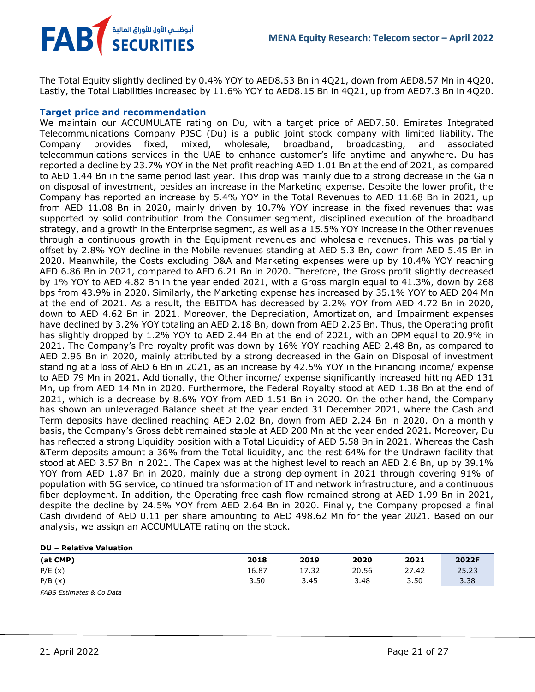**MENA Equity Research: Telecom sector – April 2022**

The Total Equity slightly declined by 0.4% YOY to AED8.53 Bn in 4Q21, down from AED8.57 Mn in 4Q20. Lastly, the Total Liabilities increased by 11.6% YOY to AED8.15 Bn in 4Q21, up from AED7.3 Bn in 4Q20.

## **Target price and recommendation**

أبوظبـي الأول للأوراق المالية <sup>/</sup><br>SECURITIES

FAB

We maintain our ACCUMULATE rating on Du, with a target price of AED7.50. Emirates Integrated Telecommunications Company PJSC (Du) is a public joint stock company with limited liability. The Company provides fixed, mixed, wholesale, broadband, broadcasting, and associated telecommunications services in the UAE to enhance customer's life anytime and anywhere. Du has reported a decline by 23.7% YOY in the Net profit reaching AED 1.01 Bn at the end of 2021, as compared to AED 1.44 Bn in the same period last year. This drop was mainly due to a strong decrease in the Gain on disposal of investment, besides an increase in the Marketing expense. Despite the lower profit, the Company has reported an increase by 5.4% YOY in the Total Revenues to AED 11.68 Bn in 2021, up from AED 11.08 Bn in 2020, mainly driven by 10.7% YOY increase in the fixed revenues that was supported by solid contribution from the Consumer segment, disciplined execution of the broadband strategy, and a growth in the Enterprise segment, as well as a 15.5% YOY increase in the Other revenues through a continuous growth in the Equipment revenues and wholesale revenues. This was partially offset by 2.8% YOY decline in the Mobile revenues standing at AED 5.3 Bn, down from AED 5.45 Bn in 2020. Meanwhile, the Costs excluding D&A and Marketing expenses were up by 10.4% YOY reaching AED 6.86 Bn in 2021, compared to AED 6.21 Bn in 2020. Therefore, the Gross profit slightly decreased by 1% YOY to AED 4.82 Bn in the year ended 2021, with a Gross margin equal to 41.3%, down by 268 bps from 43.9% in 2020. Similarly, the Marketing expense has increased by 35.1% YOY to AED 204 Mn at the end of 2021. As a result, the EBITDA has decreased by 2.2% YOY from AED 4.72 Bn in 2020, down to AED 4.62 Bn in 2021. Moreover, the Depreciation, Amortization, and Impairment expenses have declined by 3.2% YOY totaling an AED 2.18 Bn, down from AED 2.25 Bn. Thus, the Operating profit has slightly dropped by 1.2% YOY to AED 2.44 Bn at the end of 2021, with an OPM equal to 20.9% in 2021. The Company's Pre-royalty profit was down by 16% YOY reaching AED 2.48 Bn, as compared to AED 2.96 Bn in 2020, mainly attributed by a strong decreased in the Gain on Disposal of investment standing at a loss of AED 6 Bn in 2021, as an increase by 42.5% YOY in the Financing income/ expense to AED 79 Mn in 2021. Additionally, the Other income/ expense significantly increased hitting AED 131 Mn, up from AED 14 Mn in 2020. Furthermore, the Federal Royalty stood at AED 1.38 Bn at the end of 2021, which is a decrease by 8.6% YOY from AED 1.51 Bn in 2020. On the other hand, the Company has shown an unleveraged Balance sheet at the year ended 31 December 2021, where the Cash and Term deposits have declined reaching AED 2.02 Bn, down from AED 2.24 Bn in 2020. On a monthly basis, the Company's Gross debt remained stable at AED 200 Mn at the year ended 2021. Moreover, Du has reflected a strong Liquidity position with a Total Liquidity of AED 5.58 Bn in 2021. Whereas the Cash &Term deposits amount a 36% from the Total liquidity, and the rest 64% for the Undrawn facility that stood at AED 3.57 Bn in 2021. The Capex was at the highest level to reach an AED 2.6 Bn, up by 39.1% YOY from AED 1.87 Bn in 2020, mainly due a strong deployment in 2021 through covering 91% of population with 5G service, continued transformation of IT and network infrastructure, and a continuous fiber deployment. In addition, the Operating free cash flow remained strong at AED 1.99 Bn in 2021, despite the decline by 24.5% YOY from AED 2.64 Bn in 2020. Finally, the Company proposed a final Cash dividend of AED 0.11 per share amounting to AED 498.62 Mn for the year 2021. Based on our analysis, we assign an ACCUMULATE rating on the stock.

| ---      |       |       |       |       |       |
|----------|-------|-------|-------|-------|-------|
| (at CMP) | 2018  | 2019  | 2020  | 2021  | 2022F |
| P/E(x)   | 16.87 | 17.32 | 20.56 | 27.42 | 25.23 |
| P/B(x)   | 3.50  | 3.45  | 3.48  | 3.50  | 3.38  |
|          |       |       |       |       |       |

*FABS Estimates & Co Data*

**DU – Relative Valuation**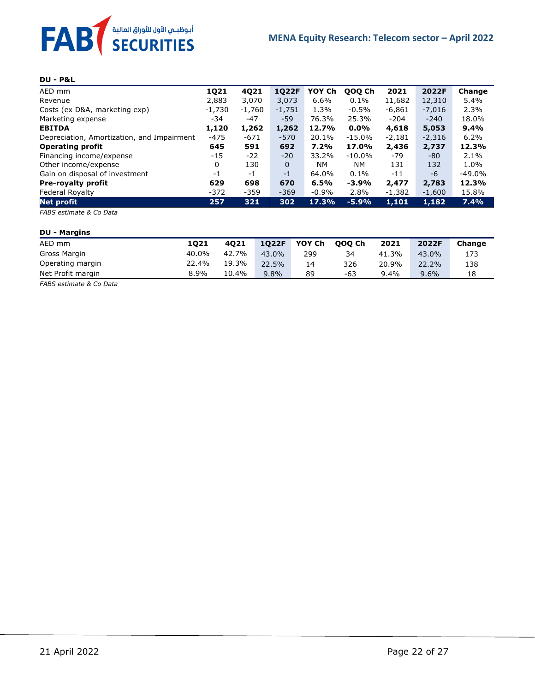

## **DU - P&L**

| AED mm                                     | <b>1Q21</b> | 4Q21     | <b>1Q22F</b> | YOY Ch    | QOQ Ch    | 2021     | 2022F    | Change    |
|--------------------------------------------|-------------|----------|--------------|-----------|-----------|----------|----------|-----------|
| Revenue                                    | 2,883       | 3,070    | 3,073        | 6.6%      | $0.1\%$   | 11,682   | 12,310   | 5.4%      |
| Costs (ex D&A, marketing exp)              | -1,730      | $-1,760$ | $-1,751$     | 1.3%      | $-0.5%$   | $-6,861$ | $-7,016$ | 2.3%      |
| Marketing expense                          | -34         | $-47$    | $-59$        | 76.3%     | 25.3%     | $-204$   | $-240$   | 18.0%     |
| <b>EBITDA</b>                              | 1,120       | 1,262    | 1,262        | 12.7%     | $0.0\%$   | 4,618    | 5,053    | 9.4%      |
| Depreciation, Amortization, and Impairment | $-475$      | $-671$   | $-570$       | 20.1%     | $-15.0%$  | $-2,181$ | $-2,316$ | 6.2%      |
| <b>Operating profit</b>                    | 645         | 591      | 692          | 7.2%      | 17.0%     | 2,436    | 2,737    | 12.3%     |
| Financing income/expense                   | $-15$       | $-22$    | $-20$        | 33.2%     | $-10.0%$  | -79      | -80      | 2.1%      |
| Other income/expense                       | 0           | 130      | $\Omega$     | <b>NM</b> | <b>NM</b> | 131      | 132      | 1.0%      |
| Gain on disposal of investment             | $-1$        | $-1$     | $-1$         | 64.0%     | 0.1%      | $-11$    | -6       | $-49.0\%$ |
| <b>Pre-royalty profit</b>                  | 629         | 698      | 670          | 6.5%      | $-3.9%$   | 2,477    | 2,783    | 12.3%     |
| Federal Royalty                            | $-372$      | $-359$   | $-369$       | $-0.9%$   | 2.8%      | $-1,382$ | $-1,600$ | 15.8%     |
| <b>Net profit</b>                          | 257         | 321      | 302          | 17.3%     | $-5.9%$   | 1,101    | 1,182    | 7.4%      |

*FABS estimate & Co Data*

#### **DU - Margins**

| AED mm            | 1021  | 4021  | 1022F   | YOY Ch | 000 Ch | 2021    | 2022F | Change |
|-------------------|-------|-------|---------|--------|--------|---------|-------|--------|
| Gross Margin      | 40.0% | 42.7% | 43.0%   | 299    | 34     | 41.3%   | 43.0% | 173    |
| Operating margin  | 22.4% | 19.3% | 22.5%   | 14     | 326    | 20.9%   | 22.2% | 138    |
| Net Profit margin | 8.9%  | 10.4% | $9.8\%$ | 89     | -63    | $9.4\%$ | 9.6%  | 18     |

*FABS estimate & Co Data*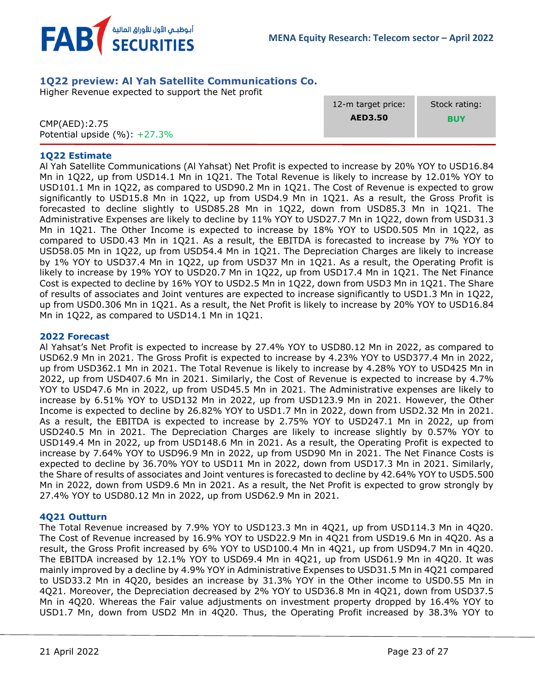

## <span id="page-22-0"></span>**1Q22 preview: Al Yah Satellite Communications Co.**

Higher Revenue expected to support the Net profit

|                                                    | 12-m target price: | Stock rating: |
|----------------------------------------------------|--------------------|---------------|
| CMP(AED): 2.75<br>Potential upside $(\%): +27.3\%$ | <b>AED3.50</b>     | <b>BUY</b>    |
|                                                    |                    |               |

### **1Q22 Estimate**

Al Yah Satellite Communications (Al Yahsat) Net Profit is expected to increase by 20% YOY to USD16.84 Mn in 1Q22, up from USD14.1 Mn in 1Q21. The Total Revenue is likely to increase by 12.01% YOY to USD101.1 Mn in 1Q22, as compared to USD90.2 Mn in 1Q21. The Cost of Revenue is expected to grow significantly to USD15.8 Mn in 1Q22, up from USD4.9 Mn in 1Q21. As a result, the Gross Profit is forecasted to decline slightly to USD85.28 Mn in 1Q22, down from USD85.3 Mn in 1Q21. The Administrative Expenses are likely to decline by 11% YOY to USD27.7 Mn in 1Q22, down from USD31.3 Mn in 1Q21. The Other Income is expected to increase by 18% YOY to USD0.505 Mn in 1Q22, as compared to USD0.43 Mn in 1Q21. As a result, the EBITDA is forecasted to increase by 7% YOY to USD58.05 Mn in 1Q22, up from USD54.4 Mn in 1Q21. The Depreciation Charges are likely to increase by 1% YOY to USD37.4 Mn in 1Q22, up from USD37 Mn in 1Q21. As a result, the Operating Profit is likely to increase by 19% YOY to USD20.7 Mn in 1Q22, up from USD17.4 Mn in 1Q21. The Net Finance Cost is expected to decline by 16% YOY to USD2.5 Mn in 1Q22, down from USD3 Mn in 1Q21. The Share of results of associates and Joint ventures are expected to increase significantly to USD1.3 Mn in 1Q22, up from USD0.306 Mn in 1Q21. As a result, the Net Profit is likely to increase by 20% YOY to USD16.84 Mn in 1Q22, as compared to USD14.1 Mn in 1Q21.

### **2022 Forecast**

Al Yahsat's Net Profit is expected to increase by 27.4% YOY to USD80.12 Mn in 2022, as compared to USD62.9 Mn in 2021. The Gross Profit is expected to increase by 4.23% YOY to USD377.4 Mn in 2022, up from USD362.1 Mn in 2021. The Total Revenue is likely to increase by 4.28% YOY to USD425 Mn in 2022, up from USD407.6 Mn in 2021. Similarly, the Cost of Revenue is expected to increase by 4.7% YOY to USD47.6 Mn in 2022, up from USD45.5 Mn in 2021. The Administrative expenses are likely to increase by 6.51% YOY to USD132 Mn in 2022, up from USD123.9 Mn in 2021. However, the Other Income is expected to decline by 26.82% YOY to USD1.7 Mn in 2022, down from USD2.32 Mn in 2021. As a result, the EBITDA is expected to increase by 2.75% YOY to USD247.1 Mn in 2022, up from USD240.5 Mn in 2021. The Depreciation Charges are likely to increase slightly by 0.57% YOY to USD149.4 Mn in 2022, up from USD148.6 Mn in 2021. As a result, the Operating Profit is expected to increase by 7.64% YOY to USD96.9 Mn in 2022, up from USD90 Mn in 2021. The Net Finance Costs is expected to decline by 36.70% YOY to USD11 Mn in 2022, down from USD17.3 Mn in 2021. Similarly, the Share of results of associates and Joint ventures is forecasted to decline by 42.64% YOY to USD5.500 Mn in 2022, down from USD9.6 Mn in 2021. As a result, the Net Profit is expected to grow strongly by 27.4% YOY to USD80.12 Mn in 2022, up from USD62.9 Mn in 2021.

### **4Q21 Outturn**

The Total Revenue increased by 7.9% YOY to USD123.3 Mn in 4Q21, up from USD114.3 Mn in 4Q20. The Cost of Revenue increased by 16.9% YOY to USD22.9 Mn in 4Q21 from USD19.6 Mn in 4Q20. As a result, the Gross Profit increased by 6% YOY to USD100.4 Mn in 4Q21, up from USD94.7 Mn in 4Q20. The EBITDA increased by 12.1% YOY to USD69.4 Mn in 4Q21, up from USD61.9 Mn in 4Q20. It was mainly improved by a decline by 4.9% YOY in Administrative Expenses to USD31.5 Mn in 4Q21 compared to USD33.2 Mn in 4Q20, besides an increase by 31.3% YOY in the Other income to USD0.55 Mn in 4Q21. Moreover, the Depreciation decreased by 2% YOY to USD36.8 Mn in 4Q21, down from USD37.5 Mn in 4Q20. Whereas the Fair value adjustments on investment property dropped by 16.4% YOY to USD1.7 Mn, down from USD2 Mn in 4Q20. Thus, the Operating Profit increased by 38.3% YOY to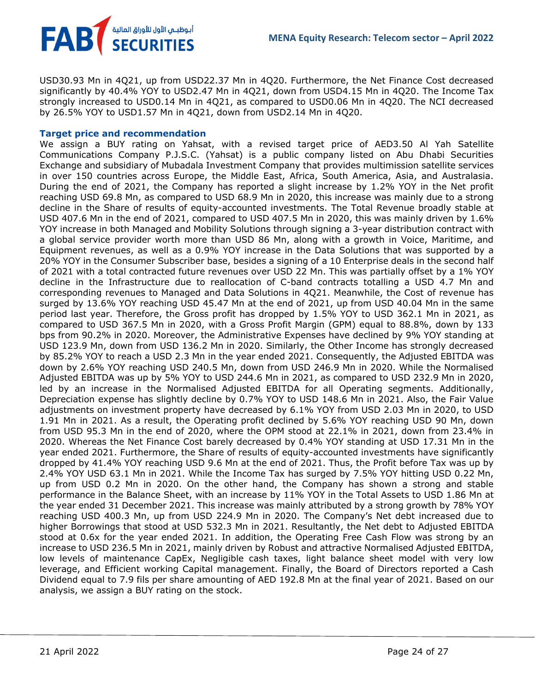USD30.93 Mn in 4Q21, up from USD22.37 Mn in 4Q20. Furthermore, the Net Finance Cost decreased significantly by 40.4% YOY to USD2.47 Mn in 4Q21, down from USD4.15 Mn in 4Q20. The Income Tax strongly increased to USD0.14 Mn in 4Q21, as compared to USD0.06 Mn in 4Q20. The NCI decreased by 26.5% YOY to USD1.57 Mn in 4Q21, down from USD2.14 Mn in 4Q20.

### **Target price and recommendation**

FAB<sup>T</sup> SECURITIES

We assign a BUY rating on Yahsat, with a revised target price of AED3.50 Al Yah Satellite Communications Company P.J.S.C. (Yahsat) is a public company listed on Abu Dhabi Securities Exchange and subsidiary of Mubadala Investment Company that provides multimission satellite services in over 150 countries across Europe, the Middle East, Africa, South America, Asia, and Australasia. During the end of 2021, the Company has reported a slight increase by 1.2% YOY in the Net profit reaching USD 69.8 Mn, as compared to USD 68.9 Mn in 2020, this increase was mainly due to a strong decline in the Share of results of equity-accounted investments. The Total Revenue broadly stable at USD 407.6 Mn in the end of 2021, compared to USD 407.5 Mn in 2020, this was mainly driven by 1.6% YOY increase in both Managed and Mobility Solutions through signing a 3-year distribution contract with a global service provider worth more than USD 86 Mn, along with a growth in Voice, Maritime, and Equipment revenues, as well as a 0.9% YOY increase in the Data Solutions that was supported by a 20% YOY in the Consumer Subscriber base, besides a signing of a 10 Enterprise deals in the second half of 2021 with a total contracted future revenues over USD 22 Mn. This was partially offset by a 1% YOY decline in the Infrastructure due to reallocation of C-band contracts totalling a USD 4.7 Mn and corresponding revenues to Managed and Data Solutions in 4Q21. Meanwhile, the Cost of revenue has surged by 13.6% YOY reaching USD 45.47 Mn at the end of 2021, up from USD 40.04 Mn in the same period last year. Therefore, the Gross profit has dropped by 1.5% YOY to USD 362.1 Mn in 2021, as compared to USD 367.5 Mn in 2020, with a Gross Profit Margin (GPM) equal to 88.8%, down by 133 bps from 90.2% in 2020. Moreover, the Administrative Expenses have declined by 9% YOY standing at USD 123.9 Mn, down from USD 136.2 Mn in 2020. Similarly, the Other Income has strongly decreased by 85.2% YOY to reach a USD 2.3 Mn in the year ended 2021. Consequently, the Adjusted EBITDA was down by 2.6% YOY reaching USD 240.5 Mn, down from USD 246.9 Mn in 2020. While the Normalised Adjusted EBITDA was up by 5% YOY to USD 244.6 Mn in 2021, as compared to USD 232.9 Mn in 2020, led by an increase in the Normalised Adjusted EBITDA for all Operating segments. Additionally, Depreciation expense has slightly decline by 0.7% YOY to USD 148.6 Mn in 2021. Also, the Fair Value adjustments on investment property have decreased by 6.1% YOY from USD 2.03 Mn in 2020, to USD 1.91 Mn in 2021. As a result, the Operating profit declined by 5.6% YOY reaching USD 90 Mn, down from USD 95.3 Mn in the end of 2020, where the OPM stood at 22.1% in 2021, down from 23.4% in 2020. Whereas the Net Finance Cost barely decreased by 0.4% YOY standing at USD 17.31 Mn in the year ended 2021. Furthermore, the Share of results of equity-accounted investments have significantly dropped by 41.4% YOY reaching USD 9.6 Mn at the end of 2021. Thus, the Profit before Tax was up by 2.4% YOY USD 63.1 Mn in 2021. While the Income Tax has surged by 7.5% YOY hitting USD 0.22 Mn, up from USD 0.2 Mn in 2020. On the other hand, the Company has shown a strong and stable performance in the Balance Sheet, with an increase by 11% YOY in the Total Assets to USD 1.86 Mn at the year ended 31 December 2021. This increase was mainly attributed by a strong growth by 78% YOY reaching USD 400.3 Mn, up from USD 224.9 Mn in 2020. The Company's Net debt increased due to higher Borrowings that stood at USD 532.3 Mn in 2021. Resultantly, the Net debt to Adjusted EBITDA stood at 0.6x for the year ended 2021. In addition, the Operating Free Cash Flow was strong by an increase to USD 236.5 Mn in 2021, mainly driven by Robust and attractive Normalised Adjusted EBITDA, low levels of maintenance CapEx, Negligible cash taxes, light balance sheet model with very low leverage, and Efficient working Capital management. Finally, the Board of Directors reported a Cash Dividend equal to 7.9 fils per share amounting of AED 192.8 Mn at the final year of 2021. Based on our analysis, we assign a BUY rating on the stock.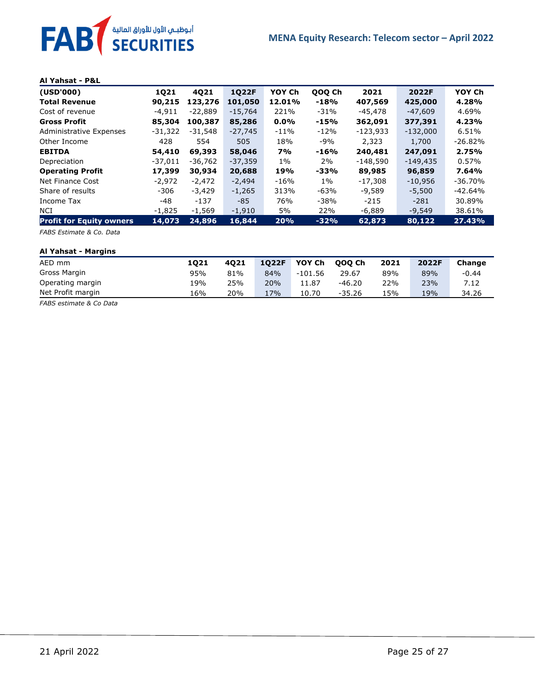#### **Al Yahsat - P&L**

| (USD'000)                       | 1021      | 4021     | 1022F     | YOY Ch    | QOQ Ch | 2021       | 2022F      | YOY Ch    |
|---------------------------------|-----------|----------|-----------|-----------|--------|------------|------------|-----------|
| <b>Total Revenue</b>            | 90,215    | 123,276  | 101,050   | 12.01%    | -18%   | 407,569    | 425,000    | 4.28%     |
| Cost of revenue                 | -4.911    | -22,889  | $-15,764$ | 221%      | -31%   | -45,478    | $-47.609$  | 4.69%     |
| <b>Gross Profit</b>             | 85,304    | 100,387  | 85,286    | 0.0%      | -15%   | 362,091    | 377,391    | 4.23%     |
| Administrative Expenses         | $-31,322$ | -31,548  | $-27,745$ | $-11%$    | $-12%$ | $-123.933$ | $-132.000$ | 6.51%     |
| Other Income                    | 428       | 554      | 505       | 18%       | $-9%$  | 2,323      | 1,700      | $-26.82%$ |
| <b>EBITDA</b>                   | 54,410    | 69,393   | 58,046    | <b>7%</b> | -16%   | 240,481    | 247,091    | 2.75%     |
| Depreciation                    | $-37,011$ | -36,762  | $-37,359$ | $1\%$     | $2\%$  | $-148,590$ | $-149,435$ | $0.57\%$  |
| <b>Operating Profit</b>         | 17,399    | 30,934   | 20,688    | 19%       | -33%   | 89,985     | 96,859     | 7.64%     |
| Net Finance Cost                | $-2.972$  | $-2,472$ | $-2,494$  | -16%      | $1\%$  | $-17,308$  | $-10,956$  | $-36.70%$ |
| Share of results                | -306      | $-3,429$ | $-1,265$  | 313%      | $-63%$ | $-9,589$   | $-5,500$   | $-42.64%$ |
| Income Tax                      | -48       | -137     | -85       | 76%       | $-38%$ | $-215$     | $-281$     | 30.89%    |
| NCI                             | -1,825    | $-1.569$ | $-1,910$  | 5%        | 22%    | -6.889     | $-9.549$   | 38.61%    |
| <b>Profit for Equity owners</b> | 14,073    | 24,896   | 16,844    | 20%       | $-32%$ | 62,873     | 80,122     | 27.43%    |

*FABS Estimate & Co. Data*

#### **Al Yahsat - Margins**

| AED mm            | 1021 | 4021 | 1022F | YOY Ch    | 000 Ch   | 2021 | 2022F | Change  |
|-------------------|------|------|-------|-----------|----------|------|-------|---------|
| Gross Margin      | 95%  | 81%  | 84%   | $-101.56$ | 29.67    | 89%  | 89%   | $-0.44$ |
| Operating margin  | 19%  | 25%  | 20%   | 11.87     | -46.20   | 22%  | 23%   | 7.12    |
| Net Profit margin | 16%  | 20%  | 17%   | 10.70     | $-35.26$ | 15%  | 19%   | 34.26   |

*FABS estimate & Co Data*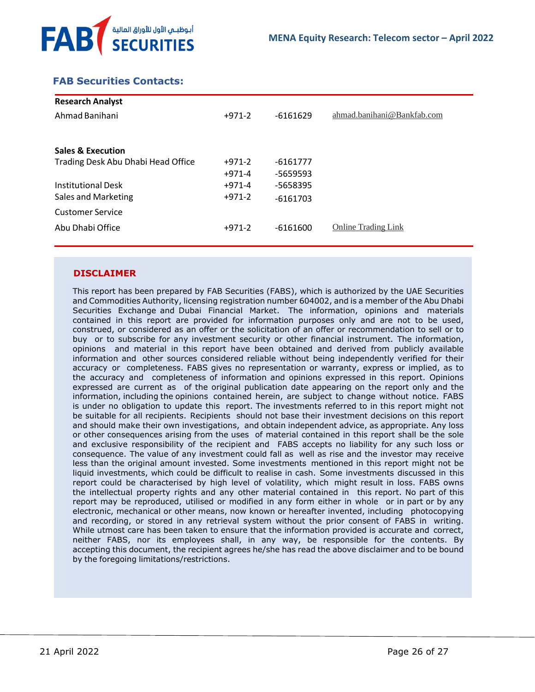

## <span id="page-25-0"></span> **FAB Securities Contacts:**

| <b>Research Analyst</b>            |          |            |                            |
|------------------------------------|----------|------------|----------------------------|
| Ahmad Banihani                     | $+971-2$ | $-6161629$ | ahmad.banihani@Bankfab.com |
|                                    |          |            |                            |
| <b>Sales &amp; Execution</b>       |          |            |                            |
| Trading Desk Abu Dhabi Head Office | $+971-2$ | -6161777   |                            |
|                                    | $+971-4$ | -5659593   |                            |
| <b>Institutional Desk</b>          | $+971-4$ | -5658395   |                            |
| Sales and Marketing                | $+971-2$ | $-6161703$ |                            |
| <b>Customer Service</b>            |          |            |                            |
| Abu Dhabi Office                   | $+971-2$ | $-6161600$ | <b>Online Trading Link</b> |
|                                    |          |            |                            |

## **DISCLAIMER**

This report has been prepared by FAB Securities (FABS), which is authorized by the UAE Securities and Commodities Authority, licensing registration number 604002, and is a member of the Abu Dhabi Securities Exchange and Dubai Financial Market. The information, opinions and materials contained in this report are provided for information purposes only and are not to be used, construed, or considered as an offer or the solicitation of an offer or recommendation to sell or to buy or to subscribe for any investment security or other financial instrument. The information, opinions and material in this report have been obtained and derived from publicly available information and other sources considered reliable without being independently verified for their accuracy or completeness. FABS gives no representation or warranty, express or implied, as to the accuracy and completeness of information and opinions expressed in this report. Opinions expressed are current as of the original publication date appearing on the report only and the information, including the opinions contained herein, are subject to change without notice. FABS is under no obligation to update this report. The investments referred to in this report might not be suitable for all recipients. Recipients should not base their investment decisions on this report and should make their own investigations, and obtain independent advice, as appropriate. Any loss or other consequences arising from the uses of material contained in this report shall be the sole and exclusive responsibility of the recipient and FABS accepts no liability for any such loss or consequence. The value of any investment could fall as well as rise and the investor may receive less than the original amount invested. Some investments mentioned in this report might not be liquid investments, which could be difficult to realise in cash. Some investments discussed in this report could be characterised by high level of volatility, which might result in loss. FABS owns the intellectual property rights and any other material contained in this report. No part of this report may be reproduced, utilised or modified in any form either in whole or in part or by any electronic, mechanical or other means, now known or hereafter invented, including photocopying and recording, or stored in any retrieval system without the prior consent of FABS in writing. While utmost care has been taken to ensure that the information provided is accurate and correct, neither FABS, nor its employees shall, in any way, be responsible for the contents. By accepting this document, the recipient agrees he/she has read the above disclaimer and to be bound by the foregoing limitations/restrictions.